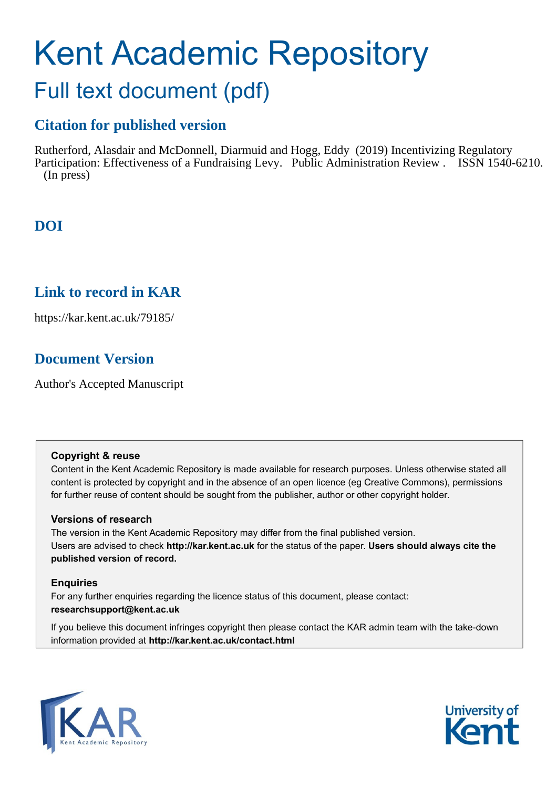# Kent Academic Repository

## Full text document (pdf)

## **Citation for published version**

Rutherford, Alasdair and McDonnell, Diarmuid and Hogg, Eddy (2019) Incentivizing Regulatory Participation: Effectiveness of a Fundraising Levy. Public Administration Review . ISSN 1540-6210. (In press)

## **DOI**

### **Link to record in KAR**

https://kar.kent.ac.uk/79185/

## **Document Version**

Author's Accepted Manuscript

#### **Copyright & reuse**

Content in the Kent Academic Repository is made available for research purposes. Unless otherwise stated all content is protected by copyright and in the absence of an open licence (eg Creative Commons), permissions for further reuse of content should be sought from the publisher, author or other copyright holder.

#### **Versions of research**

The version in the Kent Academic Repository may differ from the final published version. Users are advised to check **http://kar.kent.ac.uk** for the status of the paper. **Users should always cite the published version of record.**

#### **Enquiries**

For any further enquiries regarding the licence status of this document, please contact: **researchsupport@kent.ac.uk**

If you believe this document infringes copyright then please contact the KAR admin team with the take-down information provided at **http://kar.kent.ac.uk/contact.html**



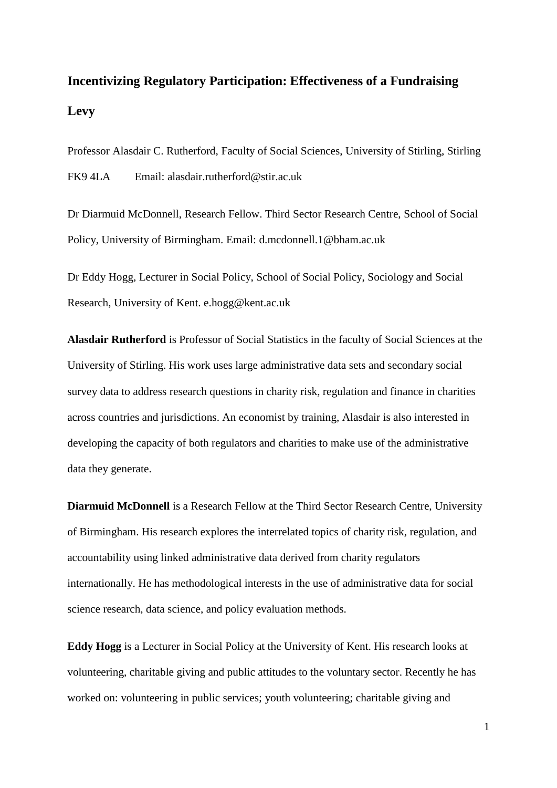## **Incentivizing Regulatory Participation: Effectiveness of a Fundraising Levy**

Professor Alasdair C. Rutherford, Faculty of Social Sciences, University of Stirling, Stirling  $FK9 4LA$  Email: alasdair. rutherford@stir.ac.uk

Dr Diarmuid McDonnell, Research Fellow. Third Sector Research Centre, School of Social Policy, University of Birmingham. Email: d.mcdonnell.1@bham.ac.uk

Dr Eddy Hogg, Lecturer in Social Policy, School of Social Policy, Sociology and Social Research, University of Kent. e.hogg@kent.ac.uk

**Alasdair Rutherford** is Professor of Social Statistics in the faculty of Social Sciences at the University of Stirling. His work uses large administrative data sets and secondary social survey data to address research questions in charity risk, regulation and finance in charities across countries and jurisdictions. An economist by training, Alasdair is also interested in developing the capacity of both regulators and charities to make use of the administrative data they generate.

**Diarmuid McDonnell** is a Research Fellow at the Third Sector Research Centre, University of Birmingham. His research explores the interrelated topics of charity risk, regulation, and accountability using linked administrative data derived from charity regulators internationally. He has methodological interests in the use of administrative data for social science research, data science, and policy evaluation methods.

**Eddy Hogg** is a Lecturer in Social Policy at the University of Kent. His research looks at volunteering, charitable giving and public attitudes to the voluntary sector. Recently he has worked on: volunteering in public services; youth volunteering; charitable giving and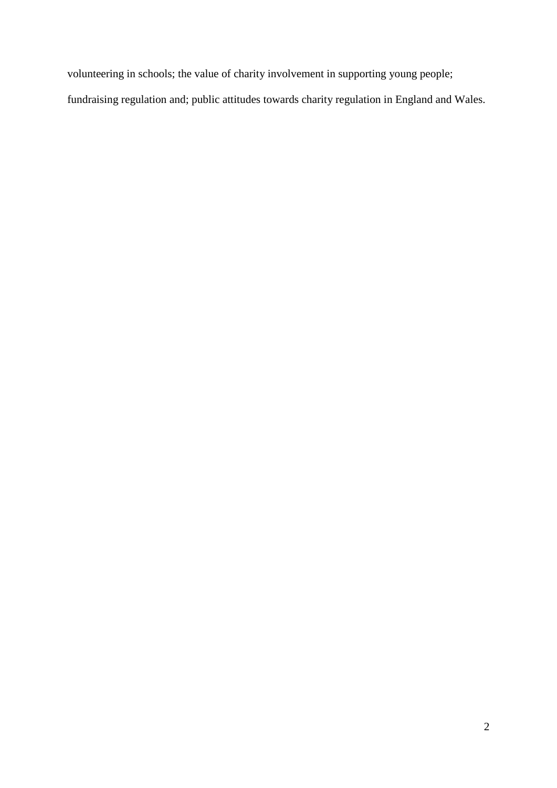volunteering in schools; the value of charity involvement in supporting young people; fundraising regulation and; public attitudes towards charity regulation in England and Wales.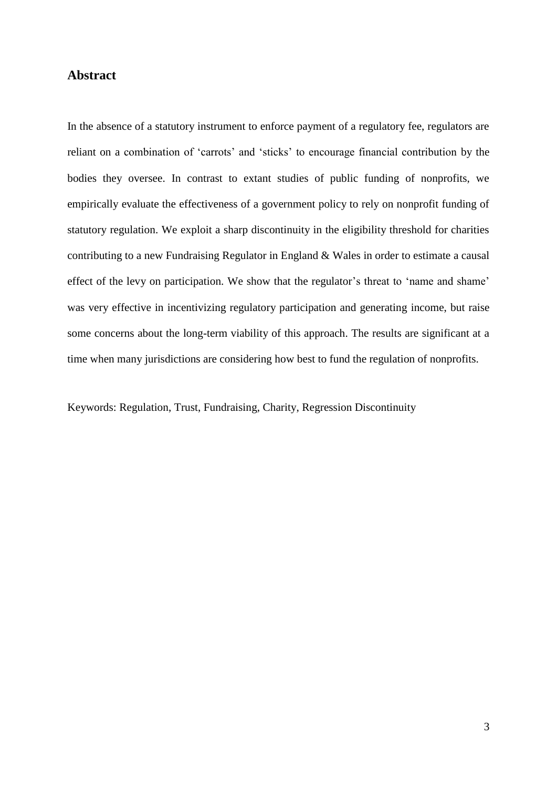#### **Abstract**

In the absence of a statutory instrument to enforce payment of a regulatory fee, regulators are reliant on a combination of 'carrots' and 'sticks' to encourage financial contribution by the bodies they oversee. In contrast to extant studies of public funding of nonprofits, we empirically evaluate the effectiveness of a government policy to rely on nonprofit funding of statutory regulation. We exploit a sharp discontinuity in the eligibility threshold for charities contributing to a new Fundraising Regulator in England & Wales in order to estimate a causal effect of the levy on participation. We show that the regulator's threat to 'name and shame' was very effective in incentivizing regulatory participation and generating income, but raise some concerns about the long-term viability of this approach. The results are significant at a time when many jurisdictions are considering how best to fund the regulation of nonprofits.

Keywords: Regulation, Trust, Fundraising, Charity, Regression Discontinuity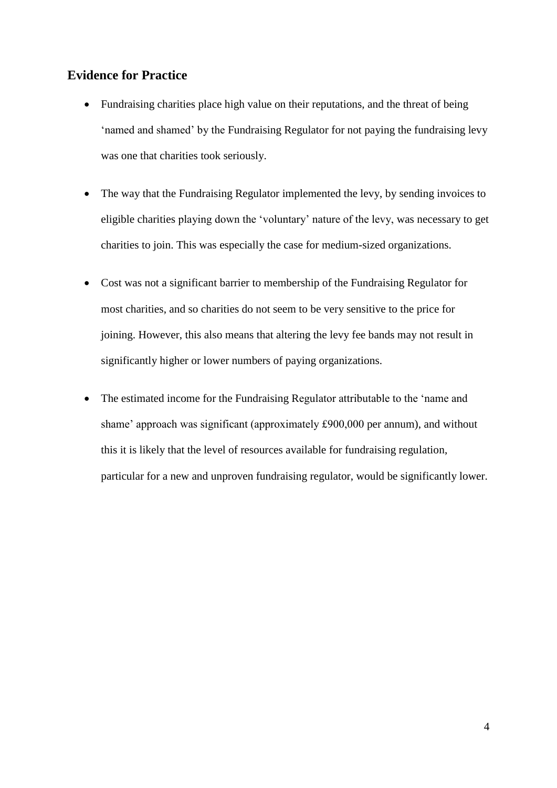#### **Evidence for Practice**

- Fundraising charities place high value on their reputations, and the threat of being 'named and shamed' by the Fundraising Regulator for not paying the fundraising levy was one that charities took seriously.
- The way that the Fundraising Regulator implemented the levy, by sending invoices to eligible charities playing down the 'voluntary' nature of the levy, was necessary to get charities to join. This was especially the case for medium-sized organizations.
- Cost was not a significant barrier to membership of the Fundraising Regulator for most charities, and so charities do not seem to be very sensitive to the price for joining. However, this also means that altering the levy fee bands may not result in significantly higher or lower numbers of paying organizations.
- The estimated income for the Fundraising Regulator attributable to the 'name and shame' approach was significant (approximately £900,000 per annum), and without this it is likely that the level of resources available for fundraising regulation, particular for a new and unproven fundraising regulator, would be significantly lower.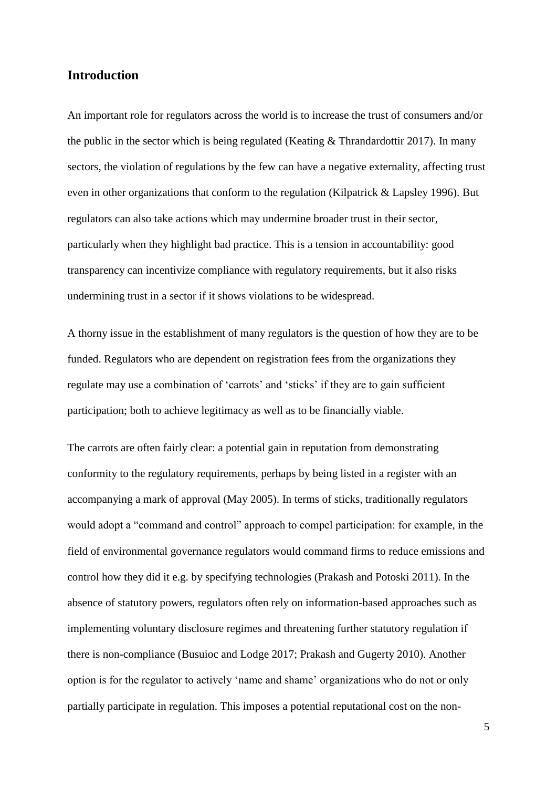#### **Introduction**

An important role for regulators across the world is to increase the trust of consumers and/or the public in the sector which is being regulated (Keating & Thrandardottir 2017). In many sectors, the violation of regulations by the few can have a negative externality, affecting trust even in other organizations that conform to the regulation (Kilpatrick & Lapsley 1996). But regulators can also take actions which may undermine broader trust in their sector, particularly when they highlight bad practice. This is a tension in accountability: good transparency can incentivize compliance with regulatory requirements, but it also risks undermining trust in a sector if it shows violations to be widespread.

A thorny issue in the establishment of many regulators is the question of how they are to be funded. Regulators who are dependent on registration fees from the organizations they regulate may use a combination of 'carrots' and 'sticks' if they are to gain sufficient participation; both to achieve legitimacy as well as to be financially viable.

The carrots are often fairly clear: a potential gain in reputation from demonstrating conformity to the regulatory requirements, perhaps by being listed in a register with an accompanying a mark of approval (May 2005). In terms of sticks, traditionally regulators would adopt a "command and control" approach to compel participation: for example, in the field of environmental governance regulators would command firms to reduce emissions and control how they did it e.g. by specifying technologies (Prakash and Potoski 2011). In the absence of statutory powers, regulators often rely on information-based approaches such as implementing voluntary disclosure regimes and threatening further statutory regulation if there is non-compliance (Busuioc and Lodge 2017; Prakash and Gugerty 2010). Another option is for the regulator to actively 'name and shame' organizations who do not or only partially participate in regulation. This imposes a potential reputational cost on the non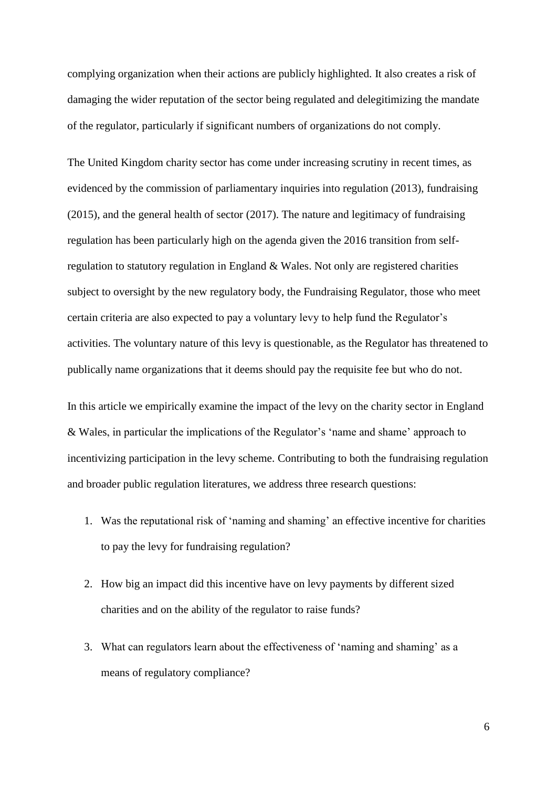complying organization when their actions are publicly highlighted. It also creates a risk of damaging the wider reputation of the sector being regulated and delegitimizing the mandate of the regulator, particularly if significant numbers of organizations do not comply.

The United Kingdom charity sector has come under increasing scrutiny in recent times, as evidenced by the commission of parliamentary inquiries into regulation (2013), fundraising (2015), and the general health of sector (2017). The nature and legitimacy of fundraising regulation has been particularly high on the agenda given the 2016 transition from selfregulation to statutory regulation in England & Wales. Not only are registered charities subject to oversight by the new regulatory body, the Fundraising Regulator, those who meet certain criteria are also expected to pay a voluntary levy to help fund the Regulator's activities. The voluntary nature of this levy is questionable, as the Regulator has threatened to publically name organizations that it deems should pay the requisite fee but who do not.

In this article we empirically examine the impact of the levy on the charity sector in England & Wales, in particular the implications of the Regulator's 'name and shame' approach to incentivizing participation in the levy scheme. Contributing to both the fundraising regulation and broader public regulation literatures, we address three research questions:

- 1. Was the reputational risk of 'naming and shaming' an effective incentive for charities to pay the levy for fundraising regulation?
- 2. How big an impact did this incentive have on levy payments by different sized charities and on the ability of the regulator to raise funds?
- 3. What can regulators learn about the effectiveness of 'naming and shaming' as a means of regulatory compliance?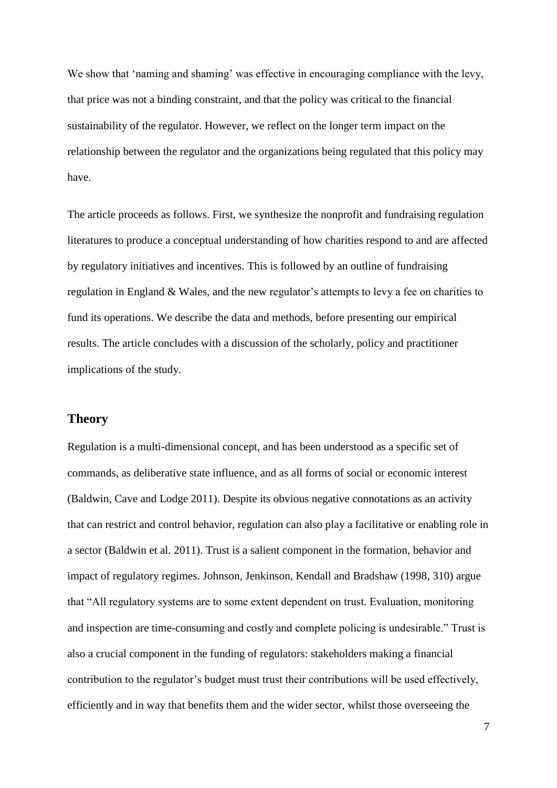We show that 'naming and shaming' was effective in encouraging compliance with the levy, that price was not a binding constraint, and that the policy was critical to the financial sustainability of the regulator. However, we reflect on the longer term impact on the relationship between the regulator and the organizations being regulated that this policy may have.

The article proceeds as follows. First, we synthesize the nonprofit and fundraising regulation literatures to produce a conceptual understanding of how charities respond to and are affected by regulatory initiatives and incentives. This is followed by an outline of fundraising regulation in England & Wales, and the new regulator's attempts to levy a fee on charities to fund its operations. We describe the data and methods, before presenting our empirical results. The article concludes with a discussion of the scholarly, policy and practitioner implications of the study.

#### **Theory**

Regulation is a multi-dimensional concept, and has been understood as a specific set of commands, as deliberative state influence, and as all forms of social or economic interest (Baldwin, Cave and Lodge 2011). Despite its obvious negative connotations as an activity that can restrict and control behavior, regulation can also play a facilitative or enabling role in a sector (Baldwin et al. 2011). Trust is a salient component in the formation, behavior and impact of regulatory regimes. Johnson, Jenkinson, Kendall and Bradshaw (1998, 310) argue that "All regulatory systems are to some extent dependent on trust. Evaluation, monitoring and inspection are time-consuming and costly and complete policing is undesirable." Trust is also a crucial component in the funding of regulators: stakeholders making a financial contribution to the regulator's budget must trust their contributions will be used effectively, efficiently and in way that benefits them and the wider sector, whilst those overseeing the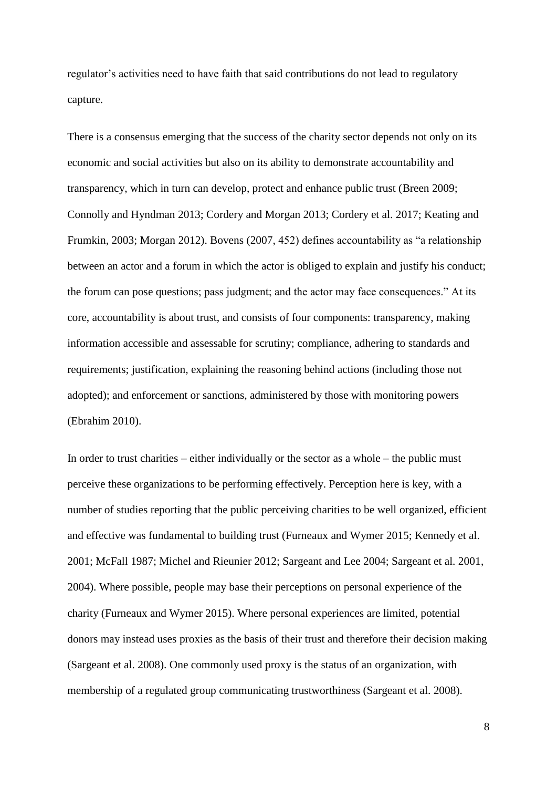regulator's activities need to have faith that said contributions do not lead to regulatory capture.

There is a consensus emerging that the success of the charity sector depends not only on its economic and social activities but also on its ability to demonstrate accountability and transparency, which in turn can develop, protect and enhance public trust (Breen 2009; Connolly and Hyndman 2013; Cordery and Morgan 2013; Cordery et al. 2017; Keating and Frumkin, 2003; Morgan 2012). Bovens (2007, 452) defines accountability as "a relationship between an actor and a forum in which the actor is obliged to explain and justify his conduct; the forum can pose questions; pass judgment; and the actor may face consequences." At its core, accountability is about trust, and consists of four components: transparency, making information accessible and assessable for scrutiny; compliance, adhering to standards and requirements; justification, explaining the reasoning behind actions (including those not adopted); and enforcement or sanctions, administered by those with monitoring powers (Ebrahim 2010).

In order to trust charities – either individually or the sector as a whole – the public must perceive these organizations to be performing effectively. Perception here is key, with a number of studies reporting that the public perceiving charities to be well organized, efficient and effective was fundamental to building trust (Furneaux and Wymer 2015; Kennedy et al. 2001; McFall 1987; Michel and Rieunier 2012; Sargeant and Lee 2004; Sargeant et al. 2001, 2004). Where possible, people may base their perceptions on personal experience of the charity (Furneaux and Wymer 2015). Where personal experiences are limited, potential donors may instead uses proxies as the basis of their trust and therefore their decision making (Sargeant et al. 2008). One commonly used proxy is the status of an organization, with membership of a regulated group communicating trustworthiness (Sargeant et al. 2008).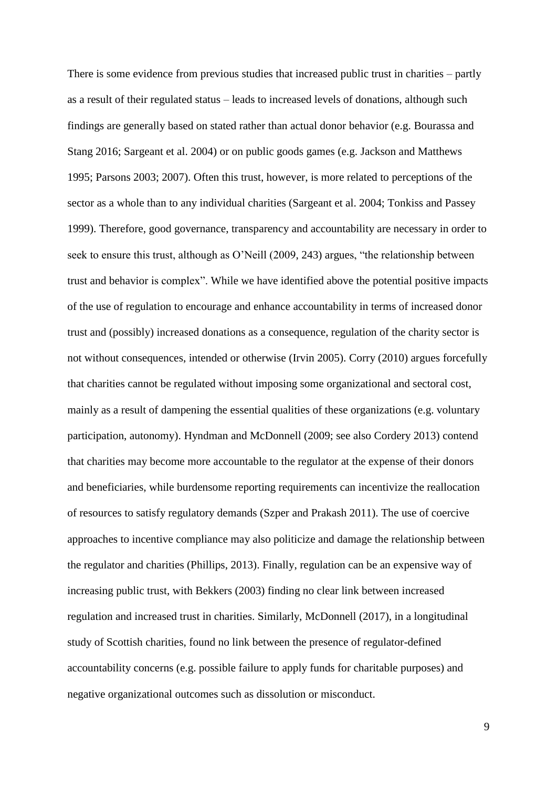There is some evidence from previous studies that increased public trust in charities – partly as a result of their regulated status – leads to increased levels of donations, although such findings are generally based on stated rather than actual donor behavior (e.g. Bourassa and Stang 2016; Sargeant et al. 2004) or on public goods games (e.g. Jackson and Matthews 1995; Parsons 2003; 2007). Often this trust, however, is more related to perceptions of the sector as a whole than to any individual charities (Sargeant et al. 2004; Tonkiss and Passey 1999). Therefore, good governance, transparency and accountability are necessary in order to seek to ensure this trust, although as O'Neill (2009, 243) argues, "the relationship between trust and behavior is complex". While we have identified above the potential positive impacts of the use of regulation to encourage and enhance accountability in terms of increased donor trust and (possibly) increased donations as a consequence, regulation of the charity sector is not without consequences, intended or otherwise (Irvin 2005). Corry (2010) argues forcefully that charities cannot be regulated without imposing some organizational and sectoral cost, mainly as a result of dampening the essential qualities of these organizations (e.g. voluntary participation, autonomy). Hyndman and McDonnell (2009; see also Cordery 2013) contend that charities may become more accountable to the regulator at the expense of their donors and beneficiaries, while burdensome reporting requirements can incentivize the reallocation of resources to satisfy regulatory demands (Szper and Prakash 2011). The use of coercive approaches to incentive compliance may also politicize and damage the relationship between the regulator and charities (Phillips, 2013). Finally, regulation can be an expensive way of increasing public trust, with Bekkers (2003) finding no clear link between increased regulation and increased trust in charities. Similarly, McDonnell (2017), in a longitudinal study of Scottish charities, found no link between the presence of regulator-defined accountability concerns (e.g. possible failure to apply funds for charitable purposes) and negative organizational outcomes such as dissolution or misconduct.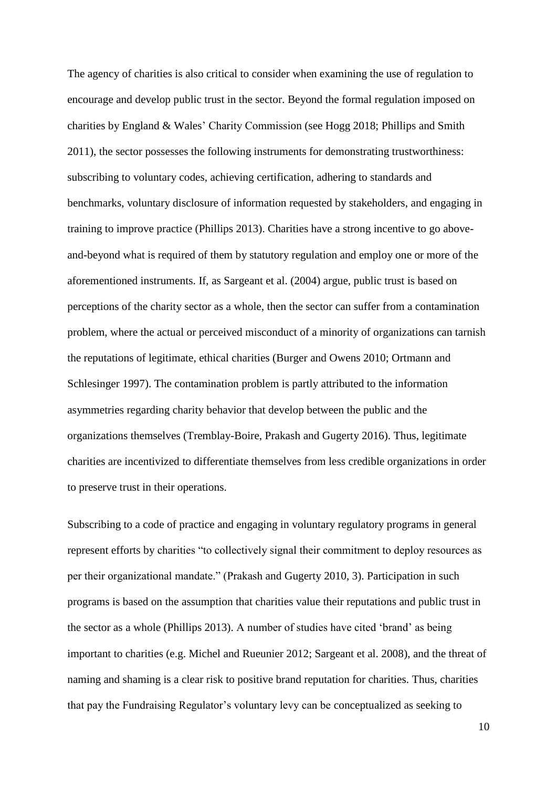The agency of charities is also critical to consider when examining the use of regulation to encourage and develop public trust in the sector. Beyond the formal regulation imposed on charities by England & Wales' Charity Commission (see Hogg 2018; Phillips and Smith 2011), the sector possesses the following instruments for demonstrating trustworthiness: subscribing to voluntary codes, achieving certification, adhering to standards and benchmarks, voluntary disclosure of information requested by stakeholders, and engaging in training to improve practice (Phillips 2013). Charities have a strong incentive to go aboveand-beyond what is required of them by statutory regulation and employ one or more of the aforementioned instruments. If, as Sargeant et al. (2004) argue, public trust is based on perceptions of the charity sector as a whole, then the sector can suffer from a contamination problem, where the actual or perceived misconduct of a minority of organizations can tarnish the reputations of legitimate, ethical charities (Burger and Owens 2010; Ortmann and Schlesinger 1997). The contamination problem is partly attributed to the information asymmetries regarding charity behavior that develop between the public and the organizations themselves (Tremblay-Boire, Prakash and Gugerty 2016). Thus, legitimate charities are incentivized to differentiate themselves from less credible organizations in order to preserve trust in their operations.

Subscribing to a code of practice and engaging in voluntary regulatory programs in general represent efforts by charities "to collectively signal their commitment to deploy resources as per their organizational mandate." (Prakash and Gugerty 2010, 3). Participation in such programs is based on the assumption that charities value their reputations and public trust in the sector as a whole (Phillips 2013). A number of studies have cited 'brand' as being important to charities (e.g. Michel and Rueunier 2012; Sargeant et al. 2008), and the threat of naming and shaming is a clear risk to positive brand reputation for charities. Thus, charities that pay the Fundraising Regulator's voluntary levy can be conceptualized as seeking to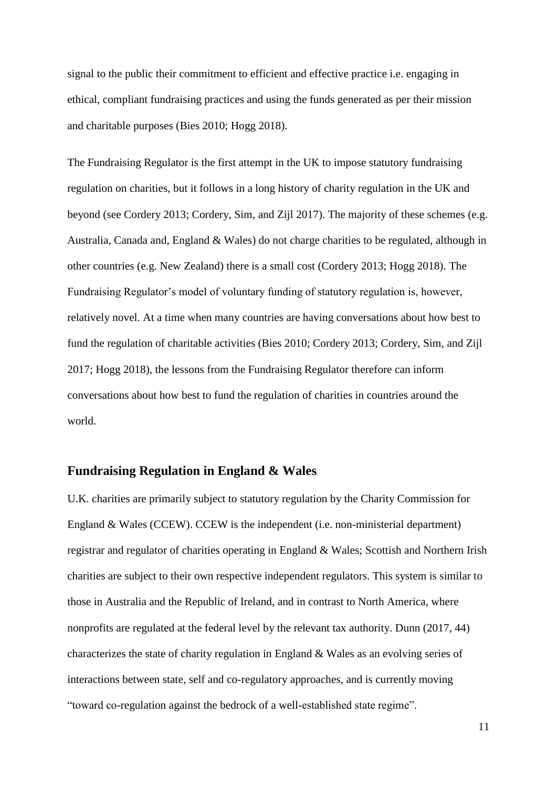signal to the public their commitment to efficient and effective practice i.e. engaging in ethical, compliant fundraising practices and using the funds generated as per their mission and charitable purposes (Bies 2010; Hogg 2018).

The Fundraising Regulator is the first attempt in the UK to impose statutory fundraising regulation on charities, but it follows in a long history of charity regulation in the UK and beyond (see Cordery 2013; Cordery, Sim, and Zijl 2017). The majority of these schemes (e.g. Australia, Canada and, England & Wales) do not charge charities to be regulated, although in other countries (e.g. New Zealand) there is a small cost (Cordery 2013; Hogg 2018). The Fundraising Regulator's model of voluntary funding of statutory regulation is, however, relatively novel. At a time when many countries are having conversations about how best to fund the regulation of charitable activities (Bies 2010; Cordery 2013; Cordery, Sim, and Zijl 2017; Hogg 2018), the lessons from the Fundraising Regulator therefore can inform conversations about how best to fund the regulation of charities in countries around the world.

#### **Fundraising Regulation in England & Wales**

U.K. charities are primarily subject to statutory regulation by the Charity Commission for England & Wales (CCEW). CCEW is the independent (i.e. non-ministerial department) registrar and regulator of charities operating in England & Wales; Scottish and Northern Irish charities are subject to their own respective independent regulators. This system is similar to those in Australia and the Republic of Ireland, and in contrast to North America, where nonprofits are regulated at the federal level by the relevant tax authority. Dunn (2017, 44) characterizes the state of charity regulation in England & Wales as an evolving series of interactions between state, self and co-regulatory approaches, and is currently moving "toward co-regulation against the bedrock of a well-established state regime".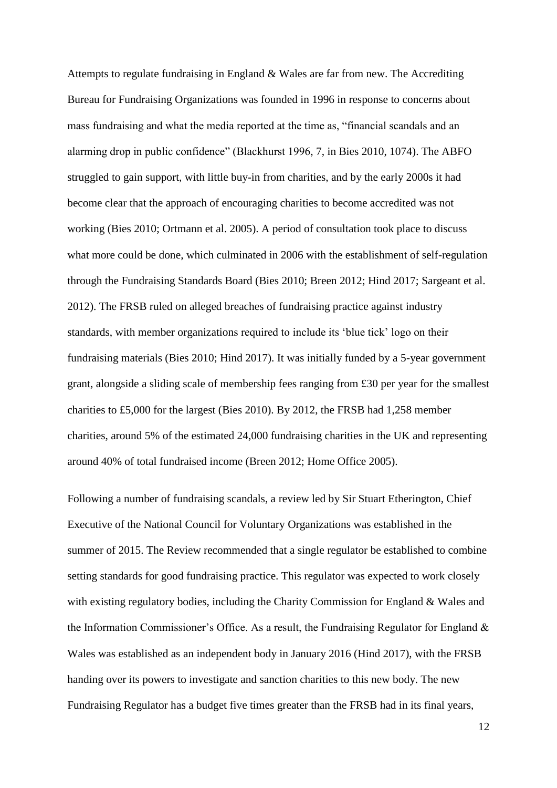Attempts to regulate fundraising in England & Wales are far from new. The Accrediting Bureau for Fundraising Organizations was founded in 1996 in response to concerns about mass fundraising and what the media reported at the time as, "financial scandals and an alarming drop in public confidence" (Blackhurst 1996, 7, in Bies 2010, 1074). The ABFO struggled to gain support, with little buy-in from charities, and by the early 2000s it had become clear that the approach of encouraging charities to become accredited was not working (Bies 2010; Ortmann et al. 2005). A period of consultation took place to discuss what more could be done, which culminated in 2006 with the establishment of self-regulation through the Fundraising Standards Board (Bies 2010; Breen 2012; Hind 2017; Sargeant et al. 2012). The FRSB ruled on alleged breaches of fundraising practice against industry standards, with member organizations required to include its 'blue tick' logo on their fundraising materials (Bies 2010; Hind 2017). It was initially funded by a 5-year government grant, alongside a sliding scale of membership fees ranging from £30 per year for the smallest charities to £5,000 for the largest (Bies 2010). By 2012, the FRSB had 1,258 member charities, around 5% of the estimated 24,000 fundraising charities in the UK and representing around 40% of total fundraised income (Breen 2012; Home Office 2005).

Following a number of fundraising scandals, a review led by Sir Stuart Etherington, Chief Executive of the National Council for Voluntary Organizations was established in the summer of 2015. The Review recommended that a single regulator be established to combine setting standards for good fundraising practice. This regulator was expected to work closely with existing regulatory bodies, including the Charity Commission for England & Wales and the Information Commissioner's Office. As a result, the Fundraising Regulator for England  $\&$ Wales was established as an independent body in January 2016 (Hind 2017), with the FRSB handing over its powers to investigate and sanction charities to this new body. The new Fundraising Regulator has a budget five times greater than the FRSB had in its final years,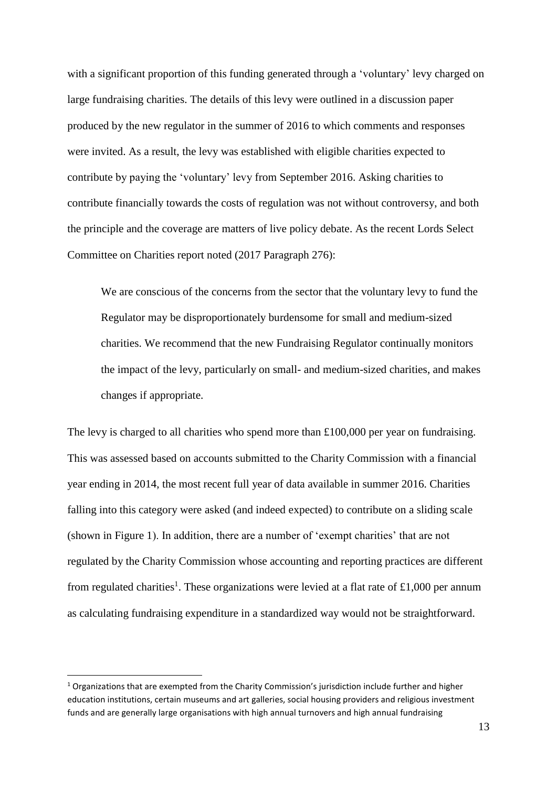with a significant proportion of this funding generated through a 'voluntary' levy charged on large fundraising charities. The details of this levy were outlined in a discussion paper produced by the new regulator in the summer of 2016 to which comments and responses were invited. As a result, the levy was established with eligible charities expected to contribute by paying the 'voluntary' levy from September 2016. Asking charities to contribute financially towards the costs of regulation was not without controversy, and both the principle and the coverage are matters of live policy debate. As the recent Lords Select Committee on Charities report noted (2017 Paragraph 276):

We are conscious of the concerns from the sector that the voluntary levy to fund the Regulator may be disproportionately burdensome for small and medium-sized charities. We recommend that the new Fundraising Regulator continually monitors the impact of the levy, particularly on small- and medium-sized charities, and makes changes if appropriate.

The levy is charged to all charities who spend more than £100,000 per year on fundraising. This was assessed based on accounts submitted to the Charity Commission with a financial year ending in 2014, the most recent full year of data available in summer 2016. Charities falling into this category were asked (and indeed expected) to contribute on a sliding scale (shown in [Figure 1\)](#page--1-0). In addition, there are a number of 'exempt charities' that are not regulated by the Charity Commission whose accounting and reporting practices are different from regulated charities<sup>1</sup>. These organizations were levied at a flat rate of £1,000 per annum as calculating fundraising expenditure in a standardized way would not be straightforward.

**.** 

 $1$  Organizations that are exempted from the Charity Commission's jurisdiction include further and higher education institutions, certain museums and art galleries, social housing providers and religious investment funds and are generally large organisations with high annual turnovers and high annual fundraising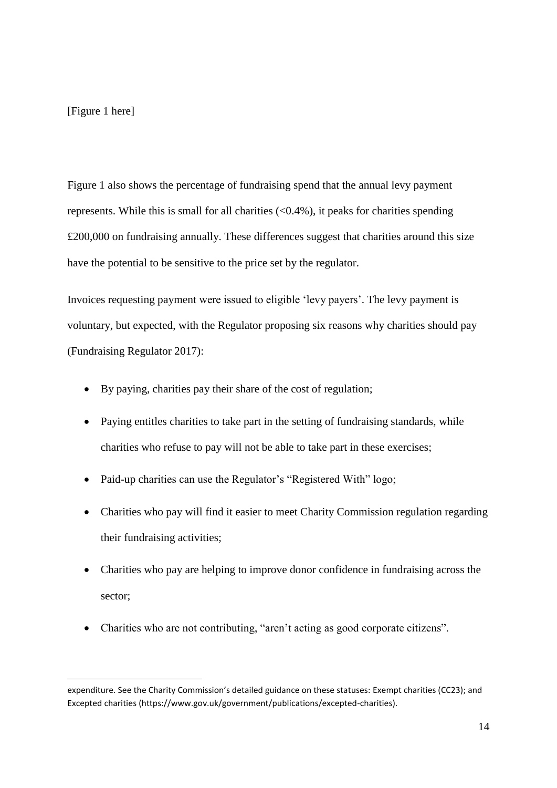#### [Figure 1 here]

1

[Figure 1](#page--1-0) also shows the percentage of fundraising spend that the annual levy payment represents. While this is small for all charities  $\langle \langle 0.4\% \rangle$ , it peaks for charities spending £200,000 on fundraising annually. These differences suggest that charities around this size have the potential to be sensitive to the price set by the regulator.

Invoices requesting payment were issued to eligible 'levy payers'. The levy payment is voluntary, but expected, with the Regulator proposing six reasons why charities should pay (Fundraising Regulator 2017):

- By paying, charities pay their share of the cost of regulation;
- Paying entitles charities to take part in the setting of fundraising standards, while charities who refuse to pay will not be able to take part in these exercises;
- Paid-up charities can use the Regulator's "Registered With" logo;
- Charities who pay will find it easier to meet Charity Commission regulation regarding their fundraising activities;
- Charities who pay are helping to improve donor confidence in fundraising across the sector;
- Charities who are not contributing, "aren't acting as good corporate citizens".

expenditure. See the Charity Commission's detailed guidance on these statuses: Exempt charities (CC23); and Excepted charities (https://www.gov.uk/government/publications/excepted-charities).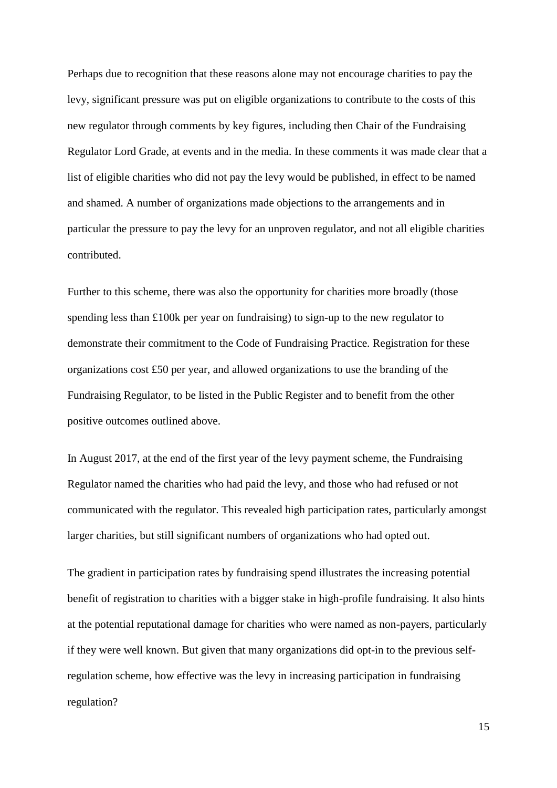Perhaps due to recognition that these reasons alone may not encourage charities to pay the levy, significant pressure was put on eligible organizations to contribute to the costs of this new regulator through comments by key figures, including then Chair of the Fundraising Regulator Lord Grade, at events and in the media. In these comments it was made clear that a list of eligible charities who did not pay the levy would be published, in effect to be named and shamed. A number of organizations made objections to the arrangements and in particular the pressure to pay the levy for an unproven regulator, and not all eligible charities contributed.

Further to this scheme, there was also the opportunity for charities more broadly (those spending less than £100k per year on fundraising) to sign-up to the new regulator to demonstrate their commitment to the Code of Fundraising Practice. Registration for these organizations cost £50 per year, and allowed organizations to use the branding of the Fundraising Regulator, to be listed in the Public Register and to benefit from the other positive outcomes outlined above.

In August 2017, at the end of the first year of the levy payment scheme, the Fundraising Regulator named the charities who had paid the levy, and those who had refused or not communicated with the regulator. This revealed high participation rates, particularly amongst larger charities, but still significant numbers of organizations who had opted out.

The gradient in participation rates by fundraising spend illustrates the increasing potential benefit of registration to charities with a bigger stake in high-profile fundraising. It also hints at the potential reputational damage for charities who were named as non-payers, particularly if they were well known. But given that many organizations did opt-in to the previous selfregulation scheme, how effective was the levy in increasing participation in fundraising regulation?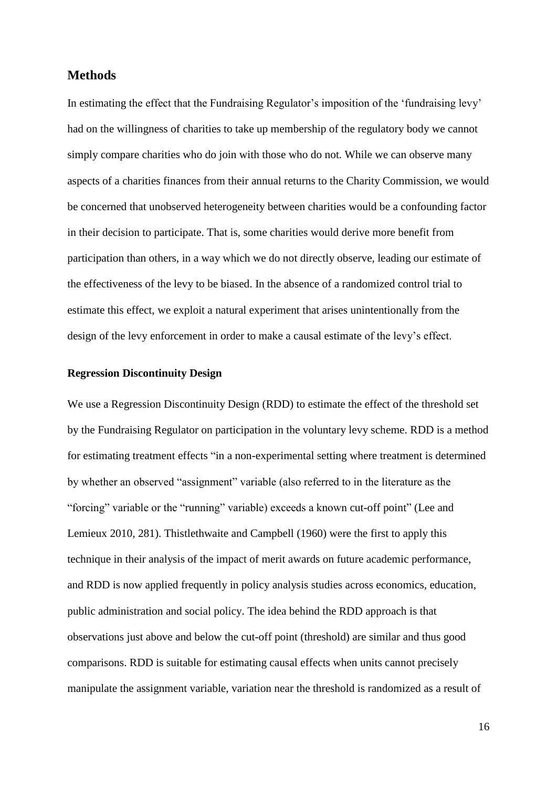#### **Methods**

In estimating the effect that the Fundraising Regulator's imposition of the 'fundraising levy' had on the willingness of charities to take up membership of the regulatory body we cannot simply compare charities who do join with those who do not. While we can observe many aspects of a charities finances from their annual returns to the Charity Commission, we would be concerned that unobserved heterogeneity between charities would be a confounding factor in their decision to participate. That is, some charities would derive more benefit from participation than others, in a way which we do not directly observe, leading our estimate of the effectiveness of the levy to be biased. In the absence of a randomized control trial to estimate this effect, we exploit a natural experiment that arises unintentionally from the design of the levy enforcement in order to make a causal estimate of the levy's effect.

#### **Regression Discontinuity Design**

We use a Regression Discontinuity Design (RDD) to estimate the effect of the threshold set by the Fundraising Regulator on participation in the voluntary levy scheme. RDD is a method for estimating treatment effects "in a non-experimental setting where treatment is determined by whether an observed "assignment" variable (also referred to in the literature as the "forcing" variable or the "running" variable) exceeds a known cut-off point" (Lee and Lemieux 2010, 281). Thistlethwaite and Campbell (1960) were the first to apply this technique in their analysis of the impact of merit awards on future academic performance, and RDD is now applied frequently in policy analysis studies across economics, education, public administration and social policy. The idea behind the RDD approach is that observations just above and below the cut-off point (threshold) are similar and thus good comparisons. RDD is suitable for estimating causal effects when units cannot precisely manipulate the assignment variable, variation near the threshold is randomized as a result of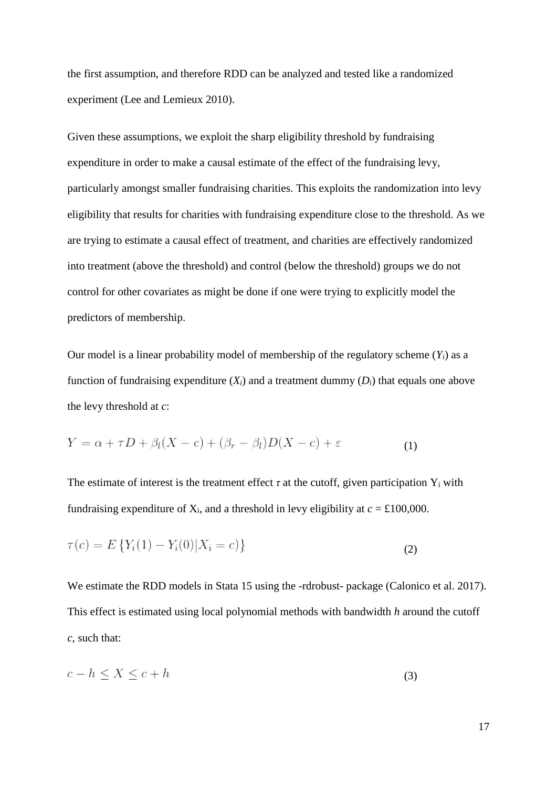the first assumption, and therefore RDD can be analyzed and tested like a randomized experiment (Lee and Lemieux 2010).

Given these assumptions, we exploit the sharp eligibility threshold by fundraising expenditure in order to make a causal estimate of the effect of the fundraising levy, particularly amongst smaller fundraising charities. This exploits the randomization into levy eligibility that results for charities with fundraising expenditure close to the threshold. As we are trying to estimate a causal effect of treatment, and charities are effectively randomized into treatment (above the threshold) and control (below the threshold) groups we do not control for other covariates as might be done if one were trying to explicitly model the predictors of membership.

Our model is a linear probability model of membership of the regulatory scheme (*Yi*) as a function of fundraising expenditure  $(X_i)$  and a treatment dummy  $(D_i)$  that equals one above the levy threshold at *c*:

$$
Y = \alpha + \tau D + \beta_l (X - c) + (\beta_r - \beta_l) D(X - c) + \varepsilon \tag{1}
$$

The estimate of interest is the treatment effect  $\tau$  at the cutoff, given participation  $Y_i$  with fundraising expenditure of  $X_i$ , and a threshold in levy eligibility at  $c = \text{\textsterling}100,000$ .

$$
\tau(c) = E\{Y_i(1) - Y_i(0)|X_i = c)\}\tag{2}
$$

We estimate the RDD models in Stata 15 using the -rdrobust- package (Calonico et al. 2017). This effect is estimated using local polynomial methods with bandwidth *h* around the cutoff *c*, such that:

$$
c - h \le X \le c + h \tag{3}
$$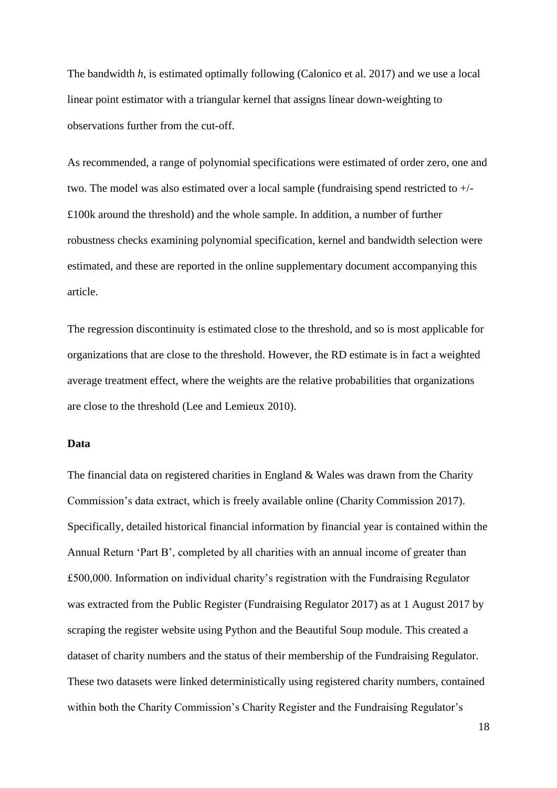The bandwidth *h*, is estimated optimally following (Calonico et al. 2017) and we use a local linear point estimator with a triangular kernel that assigns linear down-weighting to observations further from the cut-off.

As recommended, a range of polynomial specifications were estimated of order zero, one and two. The model was also estimated over a local sample (fundraising spend restricted to +/- £100k around the threshold) and the whole sample. In addition, a number of further robustness checks examining polynomial specification, kernel and bandwidth selection were estimated, and these are reported in the online supplementary document accompanying this article.

The regression discontinuity is estimated close to the threshold, and so is most applicable for organizations that are close to the threshold. However, the RD estimate is in fact a weighted average treatment effect, where the weights are the relative probabilities that organizations are close to the threshold (Lee and Lemieux 2010).

#### **Data**

The financial data on registered charities in England  $&$  Wales was drawn from the Charity Commission's data extract, which is freely available online (Charity Commission 2017). Specifically, detailed historical financial information by financial year is contained within the Annual Return 'Part B', completed by all charities with an annual income of greater than £500,000. Information on individual charity's registration with the Fundraising Regulator was extracted from the Public Register (Fundraising Regulator 2017) as at 1 August 2017 by scraping the register website using Python and the Beautiful Soup module. This created a dataset of charity numbers and the status of their membership of the Fundraising Regulator. These two datasets were linked deterministically using registered charity numbers, contained within both the Charity Commission's Charity Register and the Fundraising Regulator's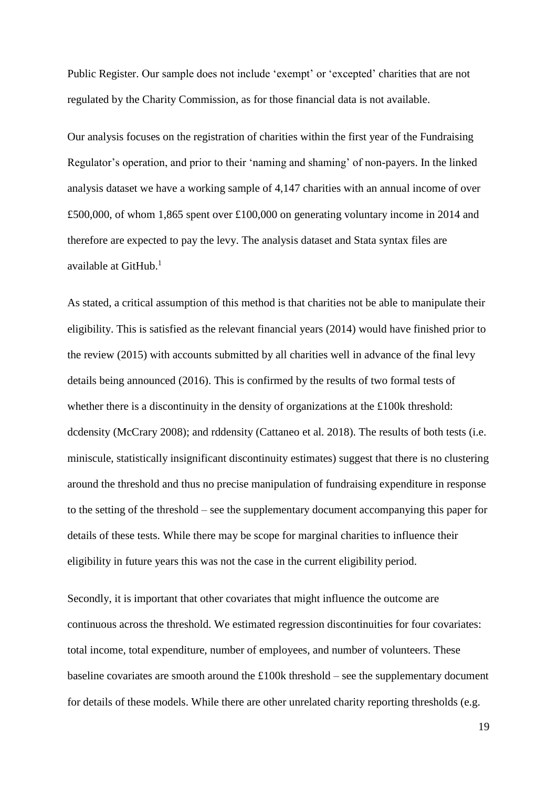Public Register. Our sample does not include 'exempt' or 'excepted' charities that are not regulated by the Charity Commission, as for those financial data is not available.

Our analysis focuses on the registration of charities within the first year of the Fundraising Regulator's operation, and prior to their 'naming and shaming' of non-payers. In the linked analysis dataset we have a working sample of 4,147 charities with an annual income of over £500,000, of whom 1,865 spent over £100,000 on generating voluntary income in 2014 and therefore are expected to pay the levy. The analysis dataset and Stata syntax files are available at GitHub.<sup>1</sup>

As stated, a critical assumption of this method is that charities not be able to manipulate their eligibility. This is satisfied as the relevant financial years (2014) would have finished prior to the review (2015) with accounts submitted by all charities well in advance of the final levy details being announced (2016). This is confirmed by the results of two formal tests of whether there is a discontinuity in the density of organizations at the £100k threshold: dcdensity (McCrary 2008); and rddensity (Cattaneo et al. 2018). The results of both tests (i.e. miniscule, statistically insignificant discontinuity estimates) suggest that there is no clustering around the threshold and thus no precise manipulation of fundraising expenditure in response to the setting of the threshold – see the supplementary document accompanying this paper for details of these tests. While there may be scope for marginal charities to influence their eligibility in future years this was not the case in the current eligibility period.

Secondly, it is important that other covariates that might influence the outcome are continuous across the threshold. We estimated regression discontinuities for four covariates: total income, total expenditure, number of employees, and number of volunteers. These baseline covariates are smooth around the £100k threshold – see the supplementary document for details of these models. While there are other unrelated charity reporting thresholds (e.g.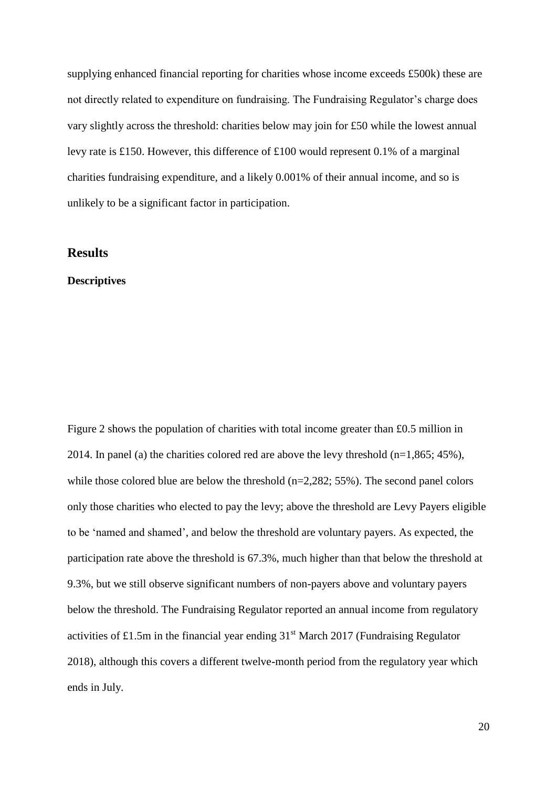supplying enhanced financial reporting for charities whose income exceeds £500k) these are not directly related to expenditure on fundraising. The Fundraising Regulator's charge does vary slightly across the threshold: charities below may join for £50 while the lowest annual levy rate is £150. However, this difference of £100 would represent 0.1% of a marginal charities fundraising expenditure, and a likely 0.001% of their annual income, and so is unlikely to be a significant factor in participation.

#### **Results**

#### **Descriptives**

[Figure 2](#page--1-1) shows the population of charities with total income greater than £0.5 million in 2014. In panel (a) the charities colored red are above the levy threshold  $(n=1,865; 45\%)$ , while those colored blue are below the threshold (n=2,282; 55%). The second panel colors only those charities who elected to pay the levy; above the threshold are Levy Payers eligible to be 'named and shamed', and below the threshold are voluntary payers. As expected, the participation rate above the threshold is 67.3%, much higher than that below the threshold at 9.3%, but we still observe significant numbers of non-payers above and voluntary payers below the threshold. The Fundraising Regulator reported an annual income from regulatory activities of £1.5m in the financial year ending  $31<sup>st</sup>$  March 2017 (Fundraising Regulator 2018), although this covers a different twelve-month period from the regulatory year which ends in July.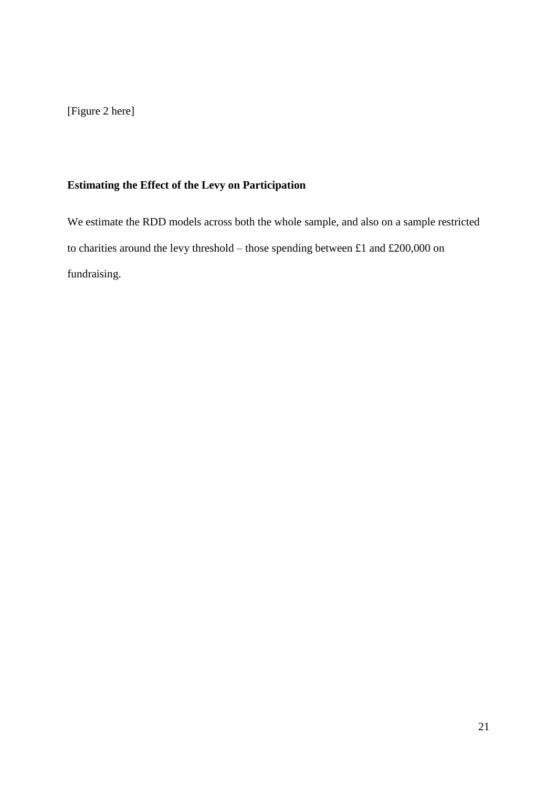[Figure 2 here]

#### **Estimating the Effect of the Levy on Participation**

We estimate the RDD models across both the whole sample, and also on a sample restricted to charities around the levy threshold – those spending between £1 and £200,000 on fundraising.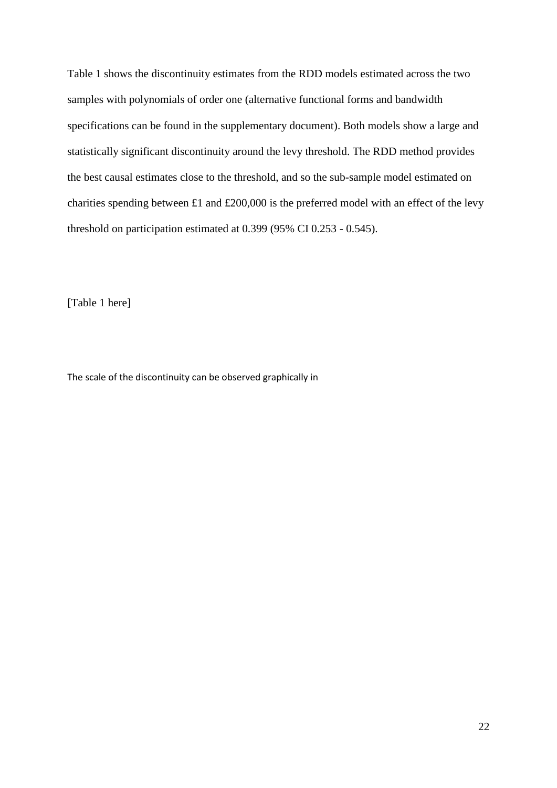[Table 1](#page--1-2) shows the discontinuity estimates from the RDD models estimated across the two samples with polynomials of order one (alternative functional forms and bandwidth specifications can be found in the supplementary document). Both models show a large and statistically significant discontinuity around the levy threshold. The RDD method provides the best causal estimates close to the threshold, and so the sub-sample model estimated on charities spending between £1 and £200,000 is the preferred model with an effect of the levy threshold on participation estimated at 0.399 (95% CI 0.253 - 0.545).

[Table 1 here]

The scale of the discontinuity can be observed graphically i[n](#page--1-3)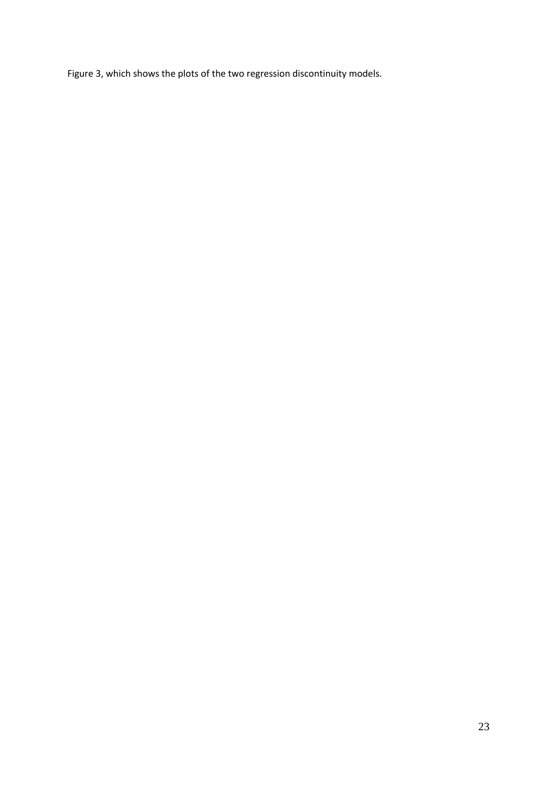[Figure 3,](#page--1-3) which shows the plots of the two regression discontinuity models.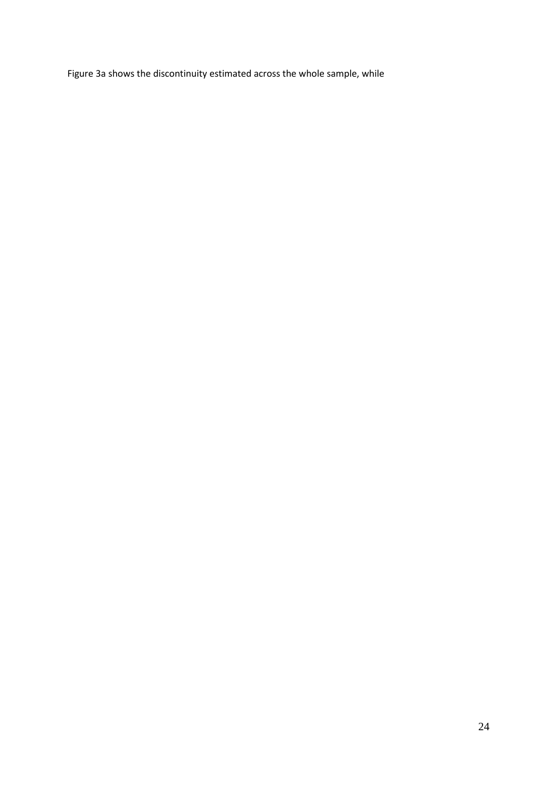[Figure 3a](#page--1-3) shows the discontinuity estimated across the whole sample, while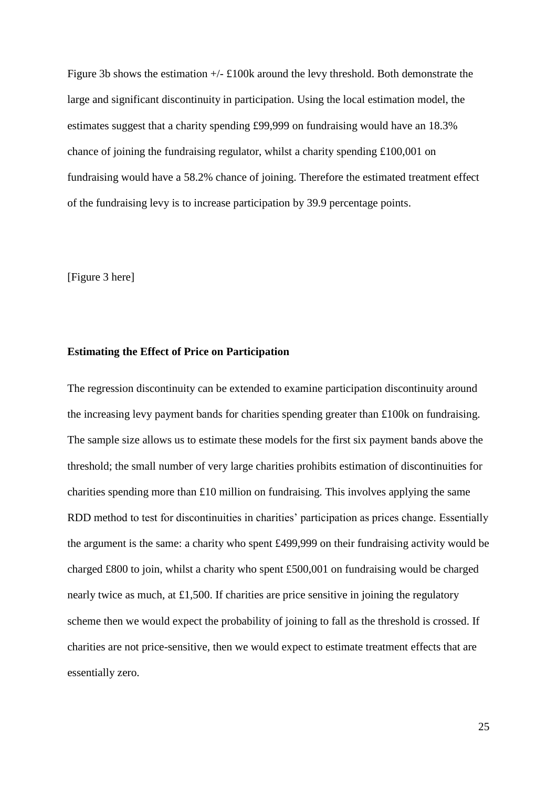[Figure 3b](#page--1-3) shows the estimation  $+/-$  £100k around the levy threshold. Both demonstrate the large and significant discontinuity in participation. Using the local estimation model, the estimates suggest that a charity spending £99,999 on fundraising would have an 18.3% chance of joining the fundraising regulator, whilst a charity spending £100,001 on fundraising would have a 58.2% chance of joining. Therefore the estimated treatment effect of the fundraising levy is to increase participation by 39.9 percentage points.

#### [Figure 3 here]

#### **Estimating the Effect of Price on Participation**

The regression discontinuity can be extended to examine participation discontinuity around the increasing levy payment bands for charities spending greater than £100k on fundraising. The sample size allows us to estimate these models for the first six payment bands above the threshold; the small number of very large charities prohibits estimation of discontinuities for charities spending more than £10 million on fundraising. This involves applying the same RDD method to test for discontinuities in charities' participation as prices change. Essentially the argument is the same: a charity who spent £499,999 on their fundraising activity would be charged £800 to join, whilst a charity who spent £500,001 on fundraising would be charged nearly twice as much, at £1,500. If charities are price sensitive in joining the regulatory scheme then we would expect the probability of joining to fall as the threshold is crossed. If charities are not price-sensitive, then we would expect to estimate treatment effects that are essentially zero.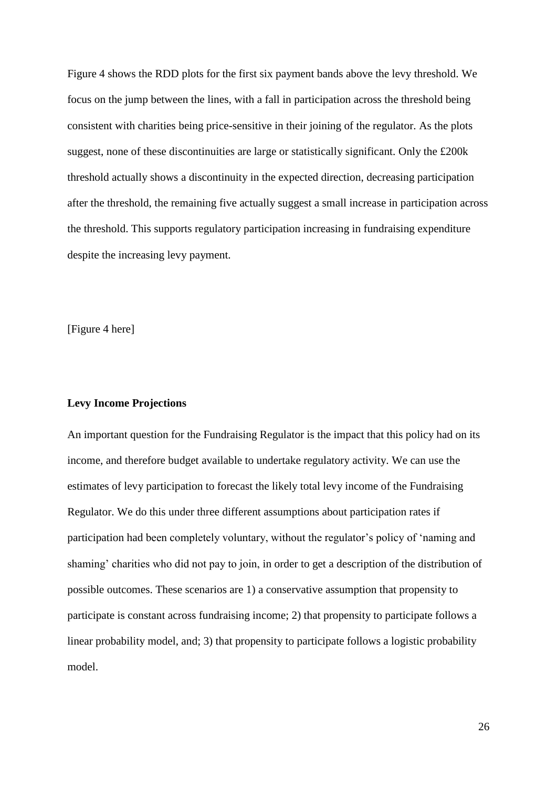[Figure 4](#page--1-4) shows the RDD plots for the first six payment bands above the levy threshold. We focus on the jump between the lines, with a fall in participation across the threshold being consistent with charities being price-sensitive in their joining of the regulator. As the plots suggest, none of these discontinuities are large or statistically significant. Only the £200k threshold actually shows a discontinuity in the expected direction, decreasing participation after the threshold, the remaining five actually suggest a small increase in participation across the threshold. This supports regulatory participation increasing in fundraising expenditure despite the increasing levy payment.

[Figure 4 here]

#### **Levy Income Projections**

An important question for the Fundraising Regulator is the impact that this policy had on its income, and therefore budget available to undertake regulatory activity. We can use the estimates of levy participation to forecast the likely total levy income of the Fundraising Regulator. We do this under three different assumptions about participation rates if participation had been completely voluntary, without the regulator's policy of 'naming and shaming' charities who did not pay to join, in order to get a description of the distribution of possible outcomes. These scenarios are 1) a conservative assumption that propensity to participate is constant across fundraising income; 2) that propensity to participate follows a linear probability model, and; 3) that propensity to participate follows a logistic probability model.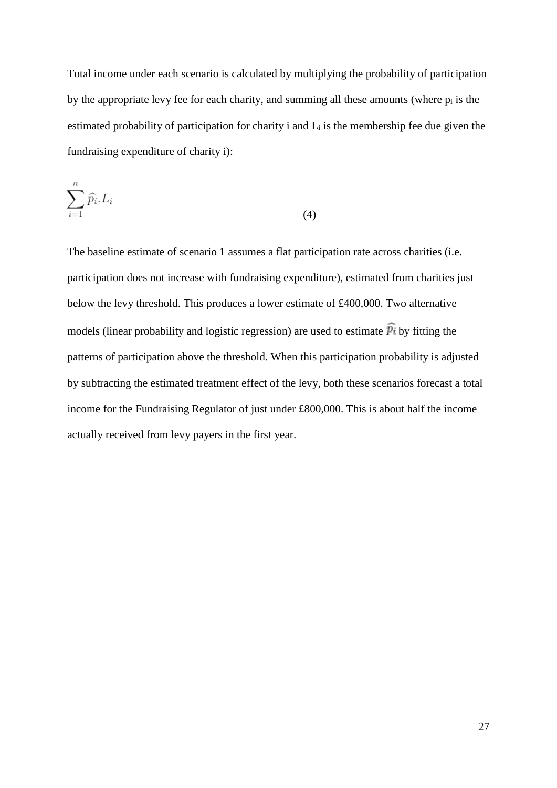Total income under each scenario is calculated by multiplying the probability of participation by the appropriate levy fee for each charity, and summing all these amounts (where  $p_i$  is the estimated probability of participation for charity i and L<sup>i</sup> is the membership fee due given the fundraising expenditure of charity i):

$$
\sum_{i=1}^{n} \widehat{p_i} \cdot L_i \tag{4}
$$

The baseline estimate of scenario 1 assumes a flat participation rate across charities (i.e. participation does not increase with fundraising expenditure), estimated from charities just below the levy threshold. This produces a lower estimate of £400,000. Two alternative models (linear probability and logistic regression) are used to estimate  $\hat{p}_i$  by fitting the patterns of participation above the threshold. When this participation probability is adjusted by subtracting the estimated treatment effect of the levy, both these scenarios forecast a total income for the Fundraising Regulator of just under £800,000. This is about half the income actually received from levy payers in the first year.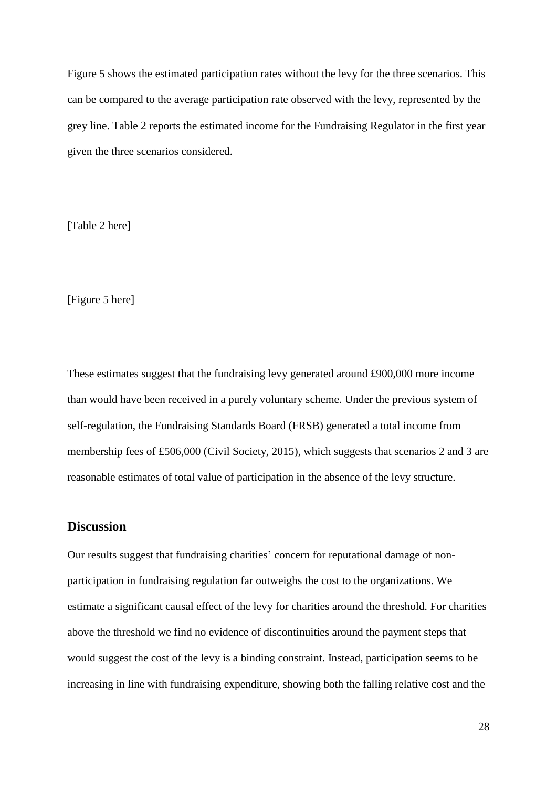[Figure 5](#page--1-5) shows the estimated participation rates without the levy for the three scenarios. This can be compared to the average participation rate observed with the levy, represented by the grey line. [Table 2](#page--1-4) reports the estimated income for the Fundraising Regulator in the first year given the three scenarios considered.

[Table 2 here]

[Figure 5 here]

These estimates suggest that the fundraising levy generated around £900,000 more income than would have been received in a purely voluntary scheme. Under the previous system of self-regulation, the Fundraising Standards Board (FRSB) generated a total income from membership fees of £506,000 (Civil Society, 2015), which suggests that scenarios 2 and 3 are reasonable estimates of total value of participation in the absence of the levy structure.

#### **Discussion**

Our results suggest that fundraising charities' concern for reputational damage of nonparticipation in fundraising regulation far outweighs the cost to the organizations. We estimate a significant causal effect of the levy for charities around the threshold. For charities above the threshold we find no evidence of discontinuities around the payment steps that would suggest the cost of the levy is a binding constraint. Instead, participation seems to be increasing in line with fundraising expenditure, showing both the falling relative cost and the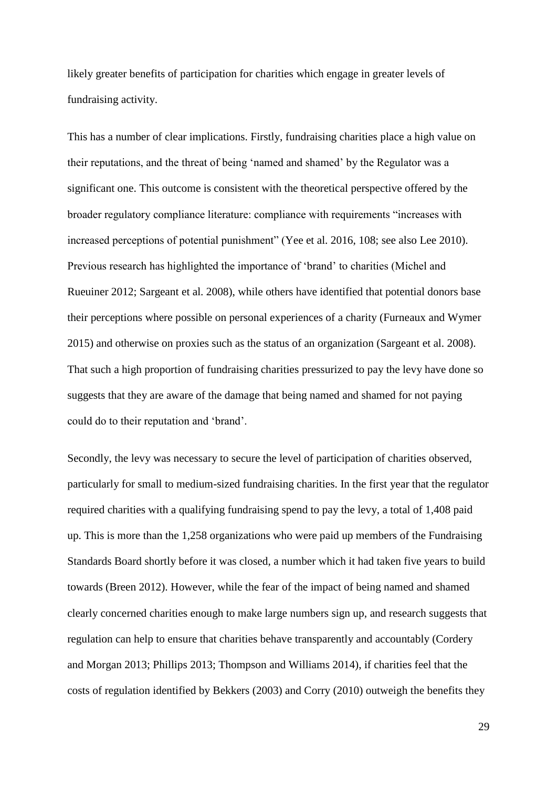likely greater benefits of participation for charities which engage in greater levels of fundraising activity.

This has a number of clear implications. Firstly, fundraising charities place a high value on their reputations, and the threat of being 'named and shamed' by the Regulator was a significant one. This outcome is consistent with the theoretical perspective offered by the broader regulatory compliance literature: compliance with requirements "increases with increased perceptions of potential punishment" (Yee et al. 2016, 108; see also Lee 2010). Previous research has highlighted the importance of 'brand' to charities (Michel and Rueuiner 2012; Sargeant et al. 2008), while others have identified that potential donors base their perceptions where possible on personal experiences of a charity (Furneaux and Wymer 2015) and otherwise on proxies such as the status of an organization (Sargeant et al. 2008). That such a high proportion of fundraising charities pressurized to pay the levy have done so suggests that they are aware of the damage that being named and shamed for not paying could do to their reputation and 'brand'.

Secondly, the levy was necessary to secure the level of participation of charities observed, particularly for small to medium-sized fundraising charities. In the first year that the regulator required charities with a qualifying fundraising spend to pay the levy, a total of 1,408 paid up. This is more than the 1,258 organizations who were paid up members of the Fundraising Standards Board shortly before it was closed, a number which it had taken five years to build towards (Breen 2012). However, while the fear of the impact of being named and shamed clearly concerned charities enough to make large numbers sign up, and research suggests that regulation can help to ensure that charities behave transparently and accountably (Cordery and Morgan 2013; Phillips 2013; Thompson and Williams 2014), if charities feel that the costs of regulation identified by Bekkers (2003) and Corry (2010) outweigh the benefits they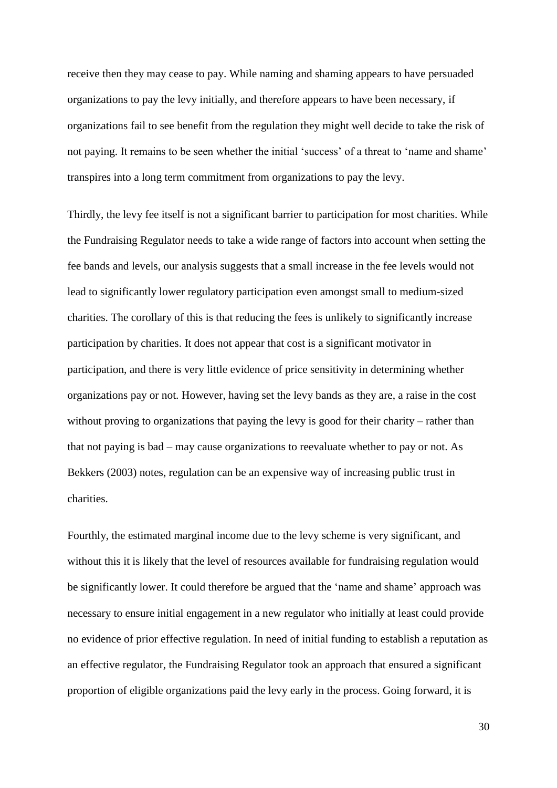receive then they may cease to pay. While naming and shaming appears to have persuaded organizations to pay the levy initially, and therefore appears to have been necessary, if organizations fail to see benefit from the regulation they might well decide to take the risk of not paying. It remains to be seen whether the initial 'success' of a threat to 'name and shame' transpires into a long term commitment from organizations to pay the levy.

Thirdly, the levy fee itself is not a significant barrier to participation for most charities. While the Fundraising Regulator needs to take a wide range of factors into account when setting the fee bands and levels, our analysis suggests that a small increase in the fee levels would not lead to significantly lower regulatory participation even amongst small to medium-sized charities. The corollary of this is that reducing the fees is unlikely to significantly increase participation by charities. It does not appear that cost is a significant motivator in participation, and there is very little evidence of price sensitivity in determining whether organizations pay or not. However, having set the levy bands as they are, a raise in the cost without proving to organizations that paying the levy is good for their charity – rather than that not paying is bad – may cause organizations to reevaluate whether to pay or not. As Bekkers (2003) notes, regulation can be an expensive way of increasing public trust in charities.

Fourthly, the estimated marginal income due to the levy scheme is very significant, and without this it is likely that the level of resources available for fundraising regulation would be significantly lower. It could therefore be argued that the 'name and shame' approach was necessary to ensure initial engagement in a new regulator who initially at least could provide no evidence of prior effective regulation. In need of initial funding to establish a reputation as an effective regulator, the Fundraising Regulator took an approach that ensured a significant proportion of eligible organizations paid the levy early in the process. Going forward, it is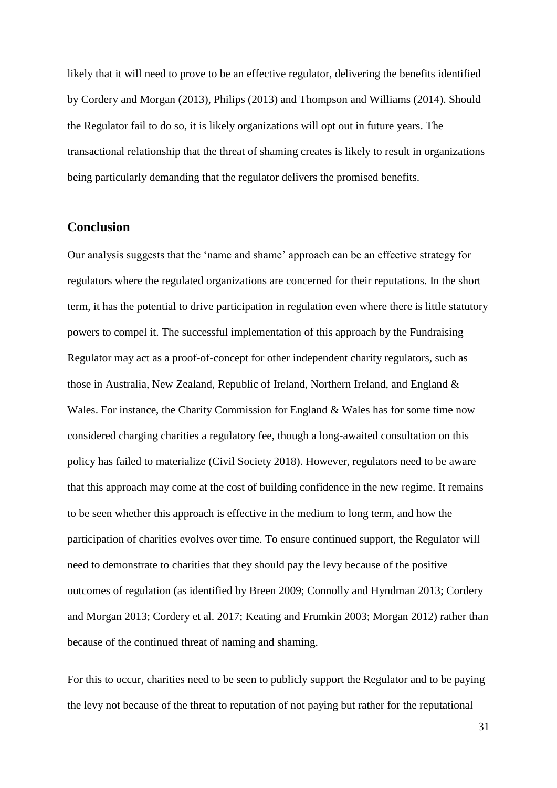likely that it will need to prove to be an effective regulator, delivering the benefits identified by Cordery and Morgan (2013), Philips (2013) and Thompson and Williams (2014). Should the Regulator fail to do so, it is likely organizations will opt out in future years. The transactional relationship that the threat of shaming creates is likely to result in organizations being particularly demanding that the regulator delivers the promised benefits.

#### **Conclusion**

Our analysis suggests that the 'name and shame' approach can be an effective strategy for regulators where the regulated organizations are concerned for their reputations. In the short term, it has the potential to drive participation in regulation even where there is little statutory powers to compel it. The successful implementation of this approach by the Fundraising Regulator may act as a proof-of-concept for other independent charity regulators, such as those in Australia, New Zealand, Republic of Ireland, Northern Ireland, and England & Wales. For instance, the Charity Commission for England & Wales has for some time now considered charging charities a regulatory fee, though a long-awaited consultation on this policy has failed to materialize (Civil Society 2018). However, regulators need to be aware that this approach may come at the cost of building confidence in the new regime. It remains to be seen whether this approach is effective in the medium to long term, and how the participation of charities evolves over time. To ensure continued support, the Regulator will need to demonstrate to charities that they should pay the levy because of the positive outcomes of regulation (as identified by Breen 2009; Connolly and Hyndman 2013; Cordery and Morgan 2013; Cordery et al. 2017; Keating and Frumkin 2003; Morgan 2012) rather than because of the continued threat of naming and shaming.

For this to occur, charities need to be seen to publicly support the Regulator and to be paying the levy not because of the threat to reputation of not paying but rather for the reputational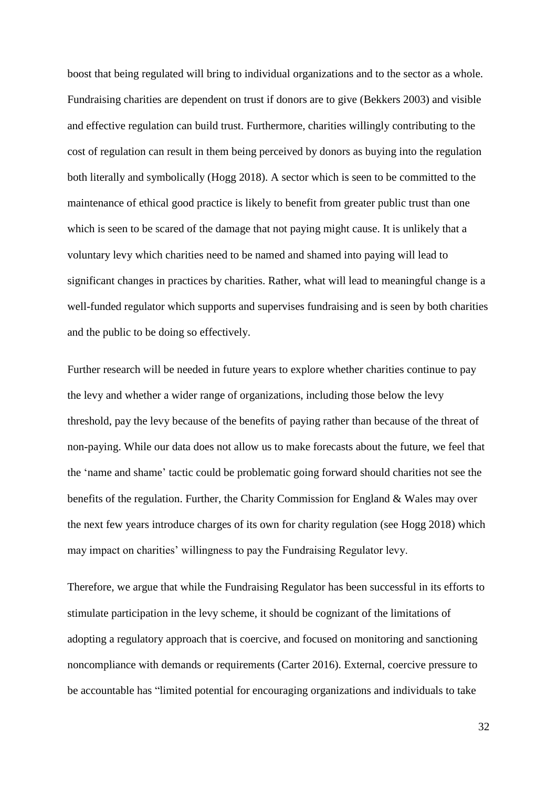boost that being regulated will bring to individual organizations and to the sector as a whole. Fundraising charities are dependent on trust if donors are to give (Bekkers 2003) and visible and effective regulation can build trust. Furthermore, charities willingly contributing to the cost of regulation can result in them being perceived by donors as buying into the regulation both literally and symbolically (Hogg 2018). A sector which is seen to be committed to the maintenance of ethical good practice is likely to benefit from greater public trust than one which is seen to be scared of the damage that not paying might cause. It is unlikely that a voluntary levy which charities need to be named and shamed into paying will lead to significant changes in practices by charities. Rather, what will lead to meaningful change is a well-funded regulator which supports and supervises fundraising and is seen by both charities and the public to be doing so effectively.

Further research will be needed in future years to explore whether charities continue to pay the levy and whether a wider range of organizations, including those below the levy threshold, pay the levy because of the benefits of paying rather than because of the threat of non-paying. While our data does not allow us to make forecasts about the future, we feel that the 'name and shame' tactic could be problematic going forward should charities not see the benefits of the regulation. Further, the Charity Commission for England & Wales may over the next few years introduce charges of its own for charity regulation (see Hogg 2018) which may impact on charities' willingness to pay the Fundraising Regulator levy.

Therefore, we argue that while the Fundraising Regulator has been successful in its efforts to stimulate participation in the levy scheme, it should be cognizant of the limitations of adopting a regulatory approach that is coercive, and focused on monitoring and sanctioning noncompliance with demands or requirements (Carter 2016). External, coercive pressure to be accountable has "limited potential for encouraging organizations and individuals to take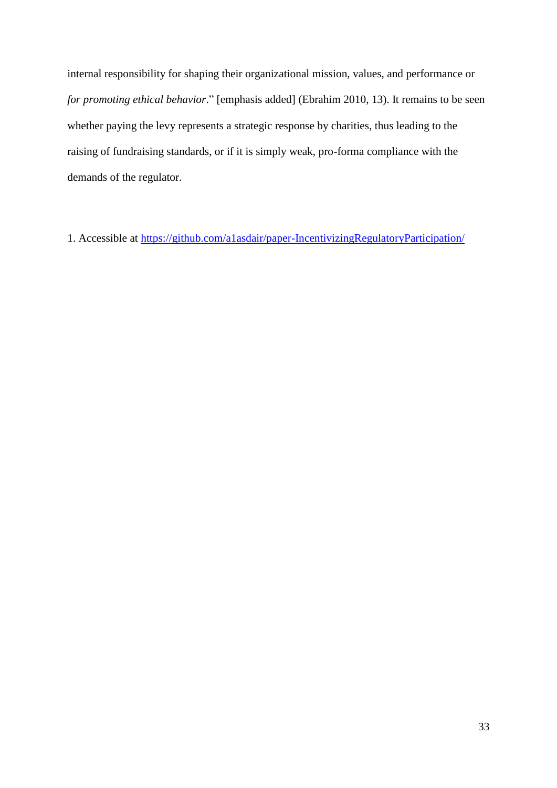internal responsibility for shaping their organizational mission, values, and performance or *for promoting ethical behavior*." [emphasis added] (Ebrahim 2010, 13). It remains to be seen whether paying the levy represents a strategic response by charities, thus leading to the raising of fundraising standards, or if it is simply weak, pro-forma compliance with the demands of the regulator.

1. Accessible at<https://github.com/a1asdair/paper-IncentivizingRegulatoryParticipation/>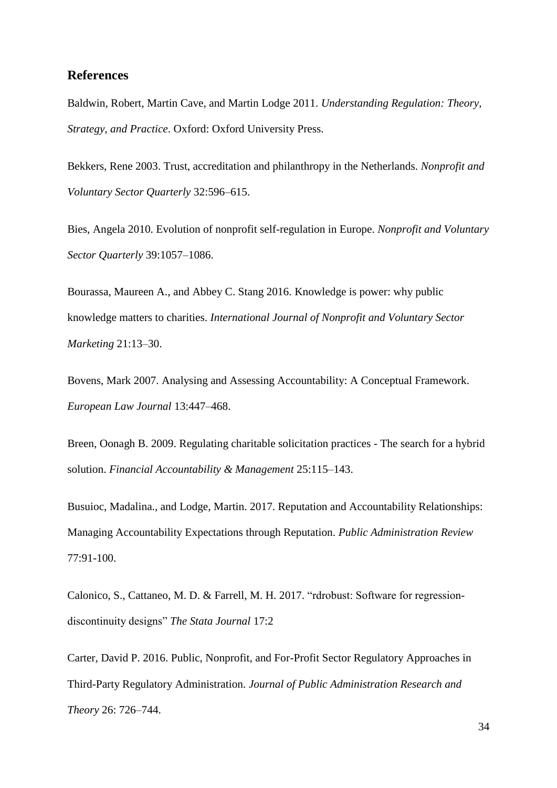#### **References**

Baldwin, Robert, Martin Cave, and Martin Lodge 2011. *Understanding Regulation: Theory, Strategy, and Practice*. Oxford: Oxford University Press.

Bekkers, Rene 2003. Trust, accreditation and philanthropy in the Netherlands. *Nonprofit and Voluntary Sector Quarterly* 32:596–615.

Bies, Angela 2010. Evolution of nonprofit self-regulation in Europe. *Nonprofit and Voluntary Sector Quarterly* 39:1057–1086.

Bourassa, Maureen A., and Abbey C. Stang 2016. Knowledge is power: why public knowledge matters to charities. *International Journal of Nonprofit and Voluntary Sector Marketing* 21:13–30.

Bovens, Mark 2007. Analysing and Assessing Accountability: A Conceptual Framework. *European Law Journal* 13:447–468.

Breen, Oonagh B. 2009. Regulating charitable solicitation practices - The search for a hybrid solution. *Financial Accountability & Management* 25:115–143.

Busuioc, Madalina., and Lodge, Martin. 2017. Reputation and Accountability Relationships: Managing Accountability Expectations through Reputation. *Public Administration Review* 77:91-100.

Calonico, S., Cattaneo, M. D. & Farrell, M. H. 2017. "rdrobust: Software for regressiondiscontinuity designs" *The Stata Journal* 17:2

Carter, David P. 2016. Public, Nonprofit, and For-Profit Sector Regulatory Approaches in Third-Party Regulatory Administration. *Journal of Public Administration Research and Theory* 26: 726–744.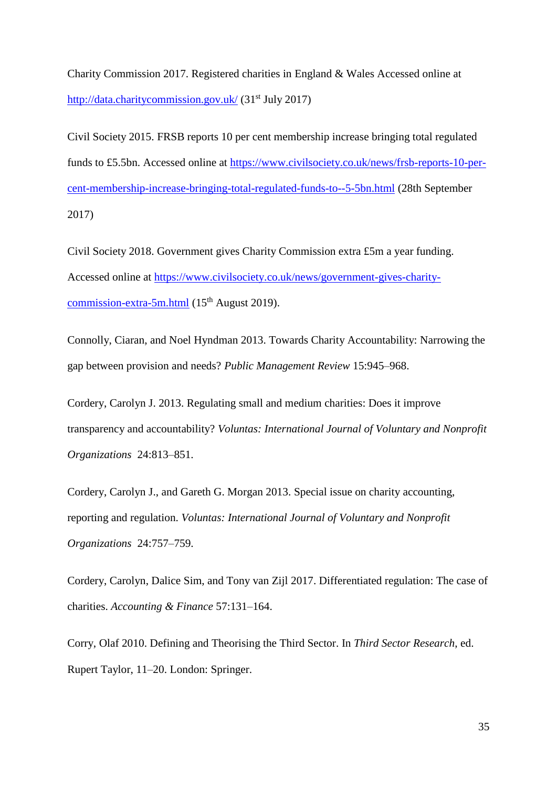Charity Commission 2017. Registered charities in England & Wales Accessed online at <http://data.charitycommission.gov.uk/> (31<sup>st</sup> July 2017)

Civil Society 2015. FRSB reports 10 per cent membership increase bringing total regulated funds to £5.5bn. Accessed online at [https://www.civilsociety.co.uk/news/frsb-reports-10-per](https://www.civilsociety.co.uk/news/frsb-reports-10-per-cent-membership-increase-bringing-total-regulated-funds-to--5-5bn.html)[cent-membership-increase-bringing-total-regulated-funds-to--5-5bn.html](https://www.civilsociety.co.uk/news/frsb-reports-10-per-cent-membership-increase-bringing-total-regulated-funds-to--5-5bn.html) (28th September 2017)

Civil Society 2018. Government gives Charity Commission extra £5m a year funding. Accessed online at [https://www.civilsociety.co.uk/news/government-gives-charity](https://www.civilsociety.co.uk/news/government-gives-charity-commission-extra-5m.html)[commission-extra-5m.html](https://www.civilsociety.co.uk/news/government-gives-charity-commission-extra-5m.html) (15<sup>th</sup> August 2019).

Connolly, Ciaran, and Noel Hyndman 2013. Towards Charity Accountability: Narrowing the gap between provision and needs? *Public Management Review* 15:945–968.

Cordery, Carolyn J. 2013. Regulating small and medium charities: Does it improve transparency and accountability? *Voluntas: International Journal of Voluntary and Nonprofit Organizations* 24:813–851.

Cordery, Carolyn J., and Gareth G. Morgan 2013. Special issue on charity accounting, reporting and regulation. *Voluntas: International Journal of Voluntary and Nonprofit Organizations* 24:757–759.

Cordery, Carolyn, Dalice Sim, and Tony van Zijl 2017. Differentiated regulation: The case of charities. *Accounting & Finance* 57:131–164.

Corry, Olaf 2010. Defining and Theorising the Third Sector. In *Third Sector Research*, ed. Rupert Taylor, 11–20. London: Springer.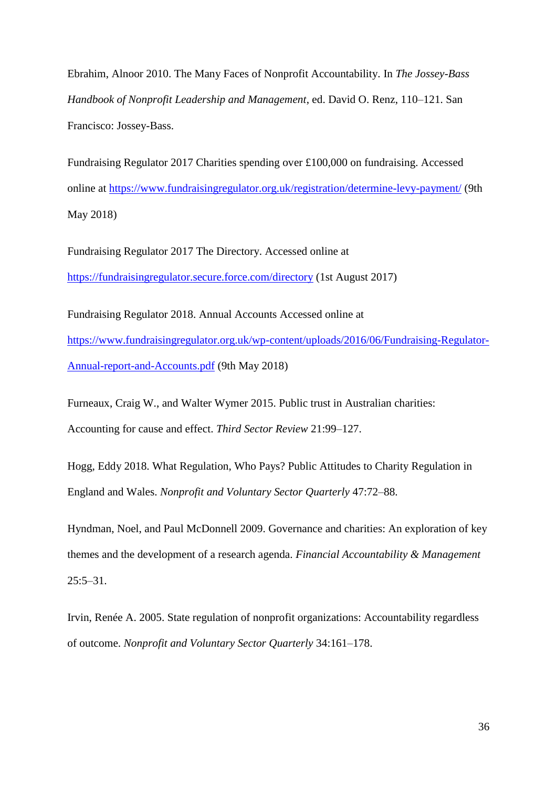Ebrahim, Alnoor 2010. The Many Faces of Nonprofit Accountability. In *The Jossey-Bass Handbook of Nonprofit Leadership and Management*, ed. David O. Renz, 110–121. San Francisco: Jossey-Bass.

Fundraising Regulator 2017 Charities spending over £100,000 on fundraising. Accessed online at<https://www.fundraisingregulator.org.uk/registration/determine-levy-payment/> (9th May 2018)

Fundraising Regulator 2017 The Directory. Accessed online at <https://fundraisingregulator.secure.force.com/directory> (1st August 2017)

Fundraising Regulator 2018. Annual Accounts Accessed online at [https://www.fundraisingregulator.org.uk/wp-content/uploads/2016/06/Fundraising-Regulator-](https://www.fundraisingregulator.org.uk/wp-content/uploads/2016/06/Fundraising-Regulator-Annual-report-and-Accounts.pdf)[Annual-report-and-Accounts.pdf](https://www.fundraisingregulator.org.uk/wp-content/uploads/2016/06/Fundraising-Regulator-Annual-report-and-Accounts.pdf) (9th May 2018)

Furneaux, Craig W., and Walter Wymer 2015. Public trust in Australian charities: Accounting for cause and effect. *Third Sector Review* 21:99–127.

Hogg, Eddy 2018. What Regulation, Who Pays? Public Attitudes to Charity Regulation in England and Wales. *Nonprofit and Voluntary Sector Quarterly* 47:72–88.

Hyndman, Noel, and Paul McDonnell 2009. Governance and charities: An exploration of key themes and the development of a research agenda. *Financial Accountability & Management*  $25:5-31$ .

Irvin, Renée A. 2005. State regulation of nonprofit organizations: Accountability regardless of outcome. *Nonprofit and Voluntary Sector Quarterly* 34:161–178.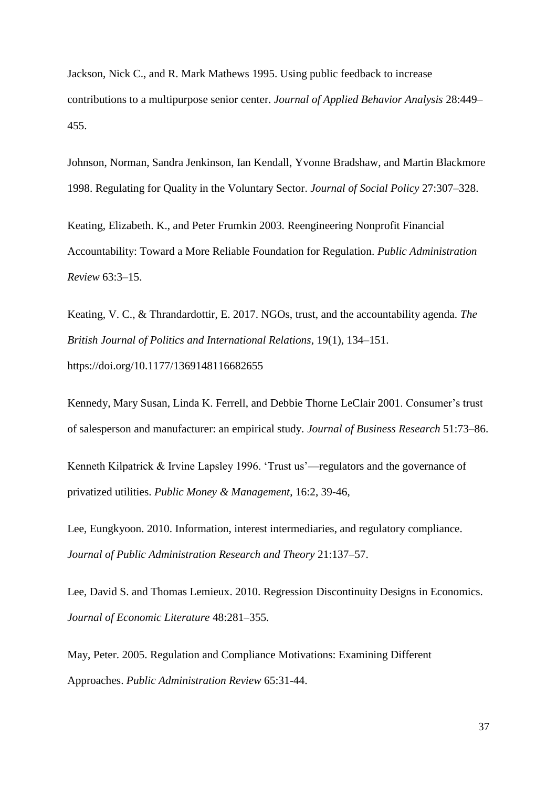Jackson, Nick C., and R. Mark Mathews 1995. Using public feedback to increase contributions to a multipurpose senior center. *Journal of Applied Behavior Analysis* 28:449– 455.

Johnson, Norman, Sandra Jenkinson, Ian Kendall, Yvonne Bradshaw, and Martin Blackmore 1998. Regulating for Quality in the Voluntary Sector. *Journal of Social Policy* 27:307–328.

Keating, Elizabeth. K., and Peter Frumkin 2003. Reengineering Nonprofit Financial Accountability: Toward a More Reliable Foundation for Regulation. *Public Administration Review* 63:3–15.

Keating, V. C., & Thrandardottir, E. 2017. NGOs, trust, and the accountability agenda. *The British Journal of Politics and International Relations*, 19(1), 134–151. https://doi.org/10.1177/1369148116682655

Kennedy, Mary Susan, Linda K. Ferrell, and Debbie Thorne LeClair 2001. Consumer's trust of salesperson and manufacturer: an empirical study. *Journal of Business Research* 51:73–86.

Kenneth Kilpatrick & Irvine Lapsley 1996. 'Trust us'—regulators and the governance of privatized utilities. *Public Money & Management*, 16:2, 39-46,

Lee, Eungkyoon. 2010. Information, interest intermediaries, and regulatory compliance. *Journal of Public Administration Research and Theory* 21:137–57.

Lee, David S. and Thomas Lemieux. 2010. Regression Discontinuity Designs in Economics. *Journal of Economic Literature* 48:281–355.

May, Peter. 2005. Regulation and Compliance Motivations: Examining Different Approaches. *Public Administration Review* 65:31-44.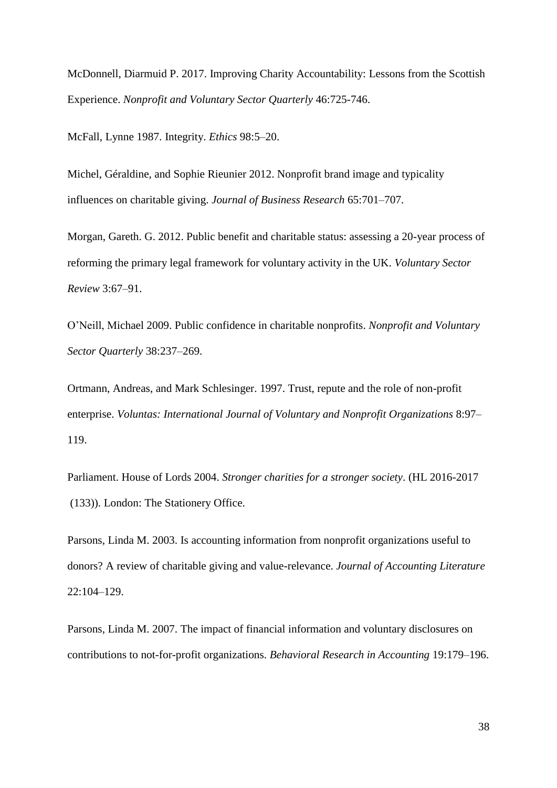McDonnell, Diarmuid P. 2017. Improving Charity Accountability: Lessons from the Scottish Experience. *Nonprofit and Voluntary Sector Quarterly* 46:725-746.

McFall, Lynne 1987. Integrity. *Ethics* 98:5–20.

Michel, Géraldine, and Sophie Rieunier 2012. Nonprofit brand image and typicality influences on charitable giving. *Journal of Business Research* 65:701–707.

Morgan, Gareth. G. 2012. Public benefit and charitable status: assessing a 20-year process of reforming the primary legal framework for voluntary activity in the UK. *Voluntary Sector Review* 3:67–91.

O'Neill, Michael 2009. Public confidence in charitable nonprofits. *Nonprofit and Voluntary Sector Quarterly* 38:237–269.

Ortmann, Andreas, and Mark Schlesinger. 1997. Trust, repute and the role of non-profit enterprise. *Voluntas: International Journal of Voluntary and Nonprofit Organizations* 8:97– 119.

Parliament. House of Lords 2004. *Stronger charities for a stronger society*. (HL 2016-2017 (133)). London: The Stationery Office.

Parsons, Linda M. 2003. Is accounting information from nonprofit organizations useful to donors? A review of charitable giving and value-relevance. *Journal of Accounting Literature* 22:104–129.

Parsons, Linda M. 2007. The impact of financial information and voluntary disclosures on contributions to not-for-profit organizations. *Behavioral Research in Accounting* 19:179–196.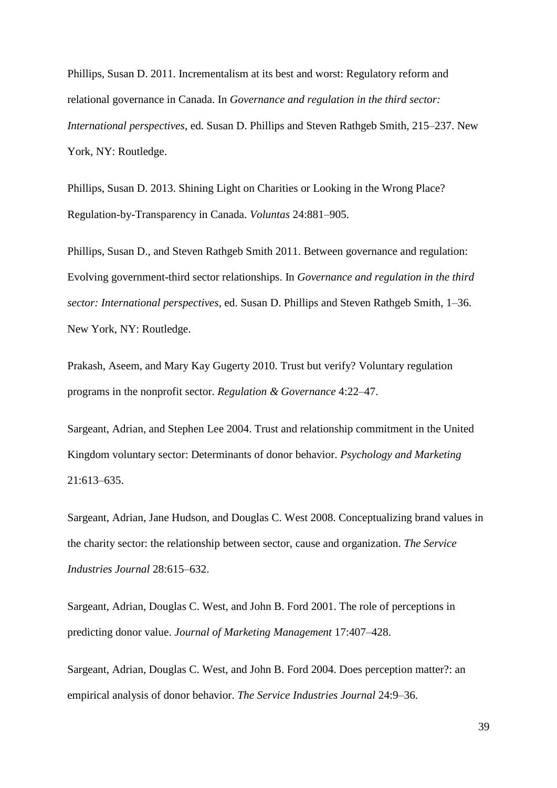Phillips, Susan D. 2011. Incrementalism at its best and worst: Regulatory reform and relational governance in Canada. In *Governance and regulation in the third sector: International perspectives*, ed. Susan D. Phillips and Steven Rathgeb Smith, 215–237. New York, NY: Routledge.

Phillips, Susan D. 2013. Shining Light on Charities or Looking in the Wrong Place? Regulation-by-Transparency in Canada. *Voluntas* 24:881–905.

Phillips, Susan D., and Steven Rathgeb Smith 2011. Between governance and regulation: Evolving government-third sector relationships. In *Governance and regulation in the third sector: International perspectives*, ed. Susan D. Phillips and Steven Rathgeb Smith, 1–36. New York, NY: Routledge.

Prakash, Aseem, and Mary Kay Gugerty 2010. Trust but verify? Voluntary regulation programs in the nonprofit sector. *Regulation & Governance* 4:22–47.

Sargeant, Adrian, and Stephen Lee 2004. Trust and relationship commitment in the United Kingdom voluntary sector: Determinants of donor behavior. *Psychology and Marketing* 21:613–635.

Sargeant, Adrian, Jane Hudson, and Douglas C. West 2008. Conceptualizing brand values in the charity sector: the relationship between sector, cause and organization. *The Service Industries Journal* 28:615–632.

Sargeant, Adrian, Douglas C. West, and John B. Ford 2001. The role of perceptions in predicting donor value. *Journal of Marketing Management* 17:407–428.

Sargeant, Adrian, Douglas C. West, and John B. Ford 2004. Does perception matter?: an empirical analysis of donor behavior. *The Service Industries Journal* 24:9–36.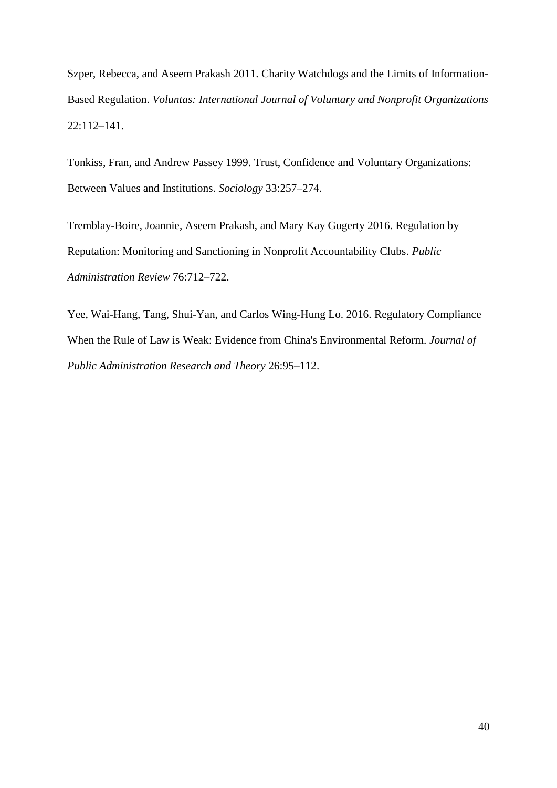Szper, Rebecca, and Aseem Prakash 2011. Charity Watchdogs and the Limits of Information-Based Regulation. *Voluntas: International Journal of Voluntary and Nonprofit Organizations* 22:112–141.

Tonkiss, Fran, and Andrew Passey 1999. Trust, Confidence and Voluntary Organizations: Between Values and Institutions. *Sociology* 33:257–274.

Tremblay-Boire, Joannie, Aseem Prakash, and Mary Kay Gugerty 2016. Regulation by Reputation: Monitoring and Sanctioning in Nonprofit Accountability Clubs. *Public Administration Review* 76:712–722.

Yee, Wai-Hang, Tang, Shui-Yan, and Carlos Wing-Hung Lo. 2016. Regulatory Compliance When the Rule of Law is Weak: Evidence from China's Environmental Reform. *Journal of Public Administration Research and Theory* 26:95–112.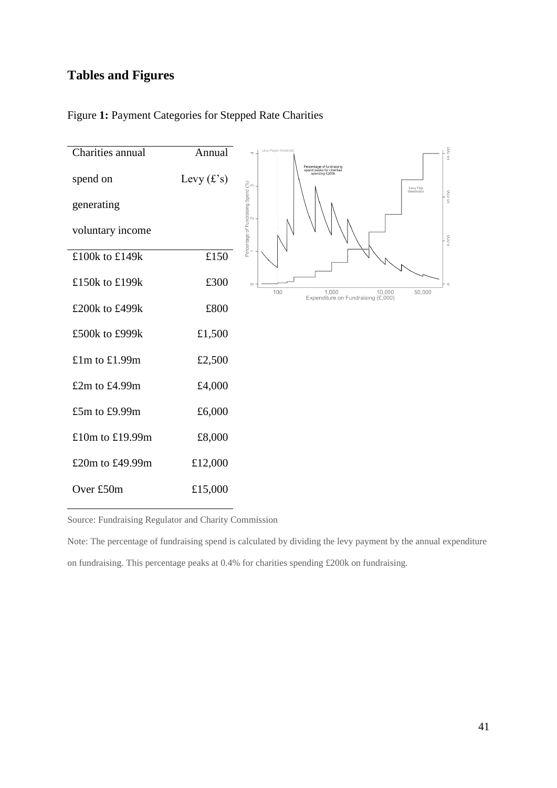#### **Tables and Figures**



Figure **1:** Payment Categories for Stepped Rate Charities

Source: Fundraising Regulator and Charity Commission

Note: The percentage of fundraising spend is calculated by dividing the levy payment by the annual expenditure on fundraising. This percentage peaks at 0.4% for charities spending £200k on fundraising.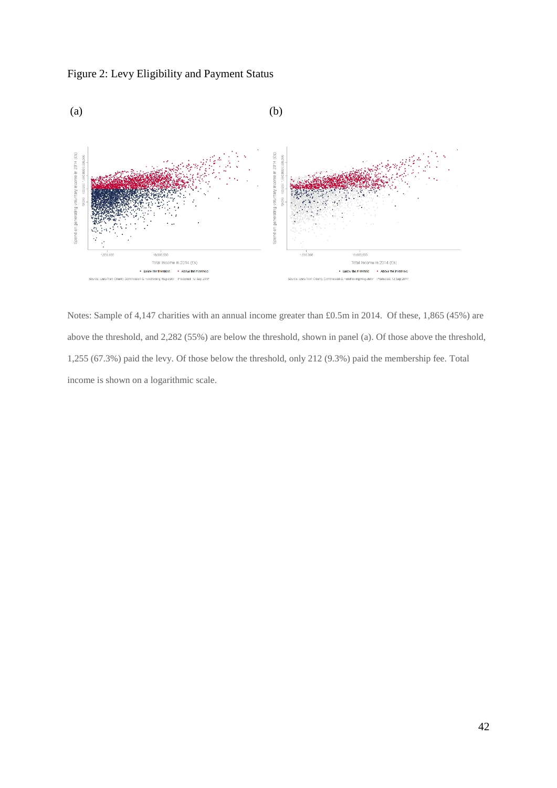



Notes: Sample of 4,147 charities with an annual income greater than £0.5m in 2014. Of these, 1,865 (45%) are above the threshold, and 2,282 (55%) are below the threshold, shown in panel (a). Of those above the threshold, 1,255 (67.3%) paid the levy. Of those below the threshold, only 212 (9.3%) paid the membership fee. Total income is shown on a logarithmic scale.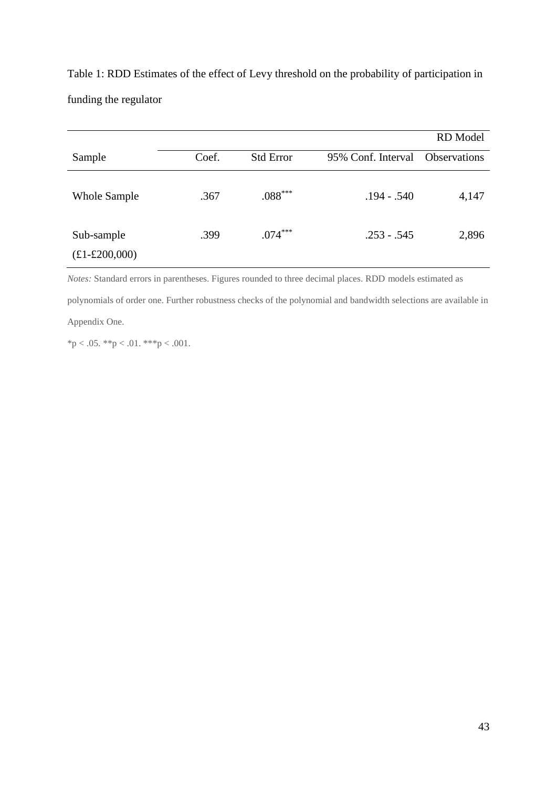Table 1: RDD Estimates of the effect of Levy threshold on the probability of participation in funding the regulator

|                                 |       |                  |                    | RD Model            |
|---------------------------------|-------|------------------|--------------------|---------------------|
| Sample                          | Coef. | <b>Std Error</b> | 95% Conf. Interval | <b>Observations</b> |
| <b>Whole Sample</b>             | .367  | $.088***$        | $.194 - .540$      | 4,147               |
| Sub-sample<br>$(E1 - E200,000)$ | .399  | $.074***$        | $.253 - .545$      | 2,896               |

*Notes:* Standard errors in parentheses. Figures rounded to three decimal places. RDD models estimated as

polynomials of order one. Further robustness checks of the polynomial and bandwidth selections are available in Appendix One.

\*p < .05. \*\*p < .01. \*\*\*p < .001.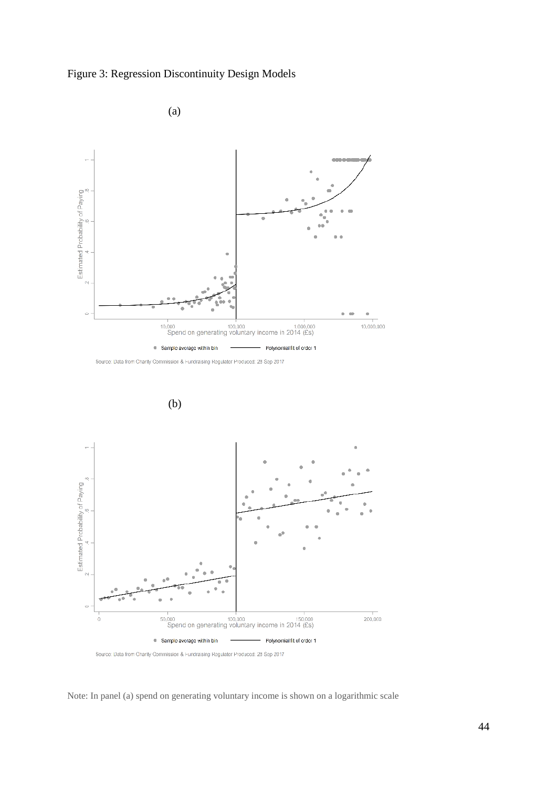



Source: Data from Charity Commission & Fundraising Regulator Produced: 28 Sep 2017





Note: In panel (a) spend on generating voluntary income is shown on a logarithmic scale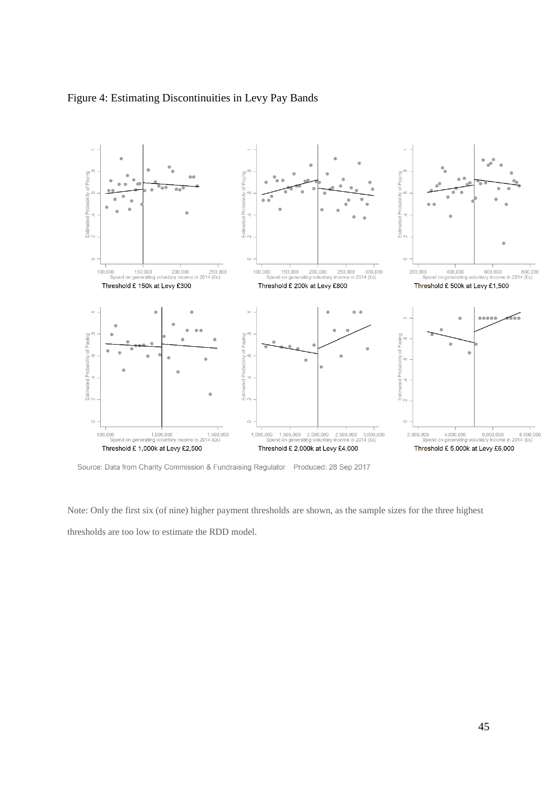

#### Figure 4: Estimating Discontinuities in Levy Pay Bands

Source: Data from Charity Commission & Fundraising Regulator Produced: 28 Sep 2017

Note: Only the first six (of nine) higher payment thresholds are shown, as the sample sizes for the three highest thresholds are too low to estimate the RDD model.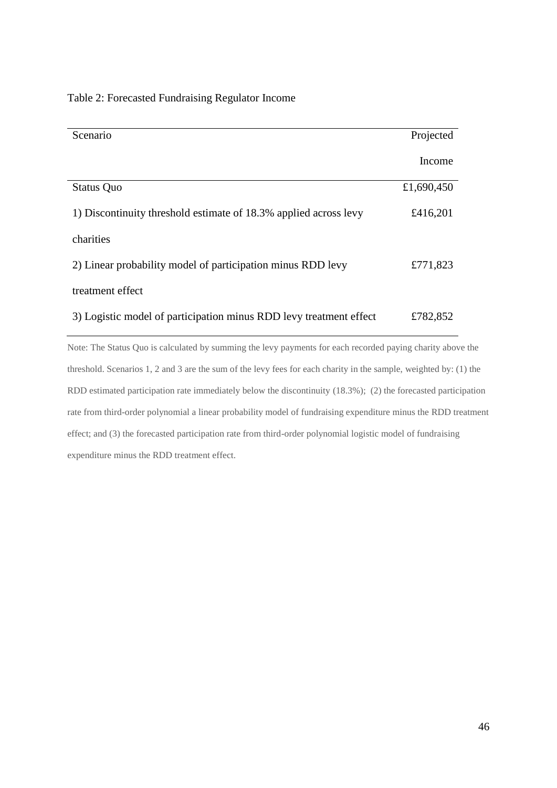#### Table 2: Forecasted Fundraising Regulator Income

| Scenario                                                           | Projected  |
|--------------------------------------------------------------------|------------|
|                                                                    | Income     |
| <b>Status Quo</b>                                                  | £1,690,450 |
| 1) Discontinuity threshold estimate of 18.3% applied across levy   | £416,201   |
| charities                                                          |            |
| 2) Linear probability model of participation minus RDD levy        | £771,823   |
| treatment effect                                                   |            |
| 3) Logistic model of participation minus RDD levy treatment effect | £782,852   |

Note: The Status Quo is calculated by summing the levy payments for each recorded paying charity above the threshold. Scenarios 1, 2 and 3 are the sum of the levy fees for each charity in the sample, weighted by: (1) the RDD estimated participation rate immediately below the discontinuity (18.3%); (2) the forecasted participation rate from third-order polynomial a linear probability model of fundraising expenditure minus the RDD treatment effect; and (3) the forecasted participation rate from third-order polynomial logistic model of fundraising expenditure minus the RDD treatment effect.